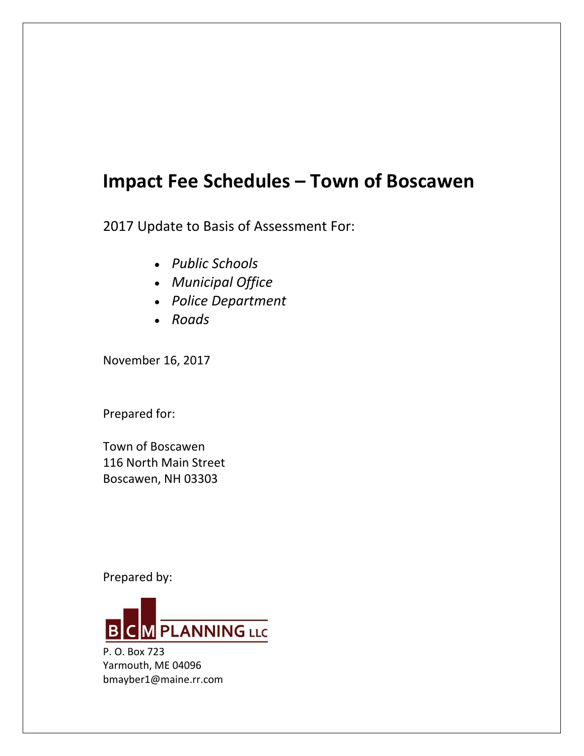# **Impact Fee Schedules – Town of Boscawen**

2017 Update to Basis of Assessment For:

- *Public Schools*
- *Municipal Office*
- *Police Department*
- *Roads*

November 16, 2017

Prepared for:

Town of Boscawen 116 North Main Street Boscawen, NH 03303

Prepared by:



P. O. Box 723 Yarmouth, ME 04096 bmayber1@maine.rr.com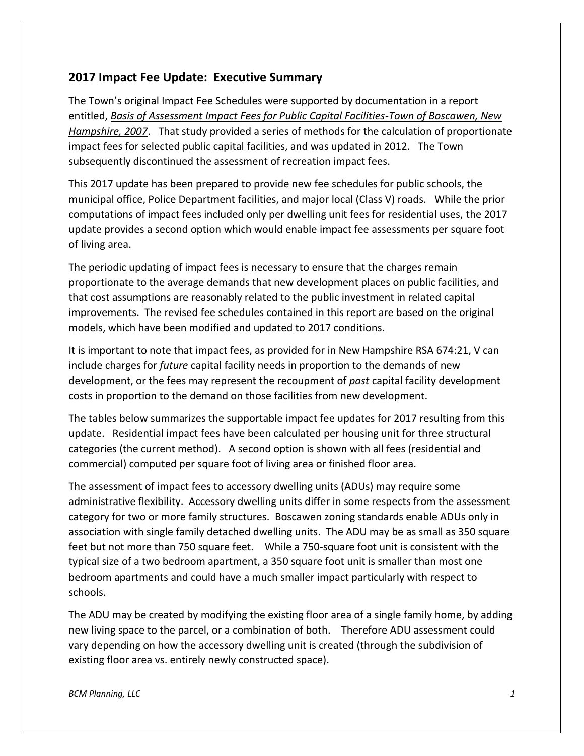# **2017 Impact Fee Update: Executive Summary**

The Town's original Impact Fee Schedules were supported by documentation in a report entitled, *Basis of Assessment Impact Fees for Public Capital Facilities-Town of Boscawen, New Hampshire, 2007*. That study provided a series of methods for the calculation of proportionate impact fees for selected public capital facilities, and was updated in 2012. The Town subsequently discontinued the assessment of recreation impact fees.

This 2017 update has been prepared to provide new fee schedules for public schools, the municipal office, Police Department facilities, and major local (Class V) roads. While the prior computations of impact fees included only per dwelling unit fees for residential uses, the 2017 update provides a second option which would enable impact fee assessments per square foot of living area.

The periodic updating of impact fees is necessary to ensure that the charges remain proportionate to the average demands that new development places on public facilities, and that cost assumptions are reasonably related to the public investment in related capital improvements. The revised fee schedules contained in this report are based on the original models, which have been modified and updated to 2017 conditions.

It is important to note that impact fees, as provided for in New Hampshire RSA 674:21, V can include charges for *future* capital facility needs in proportion to the demands of new development, or the fees may represent the recoupment of *past* capital facility development costs in proportion to the demand on those facilities from new development.

The tables below summarizes the supportable impact fee updates for 2017 resulting from this update. Residential impact fees have been calculated per housing unit for three structural categories (the current method). A second option is shown with all fees (residential and commercial) computed per square foot of living area or finished floor area.

The assessment of impact fees to accessory dwelling units (ADUs) may require some administrative flexibility. Accessory dwelling units differ in some respects from the assessment category for two or more family structures. Boscawen zoning standards enable ADUs only in association with single family detached dwelling units. The ADU may be as small as 350 square feet but not more than 750 square feet. While a 750-square foot unit is consistent with the typical size of a two bedroom apartment, a 350 square foot unit is smaller than most one bedroom apartments and could have a much smaller impact particularly with respect to schools.

The ADU may be created by modifying the existing floor area of a single family home, by adding new living space to the parcel, or a combination of both. Therefore ADU assessment could vary depending on how the accessory dwelling unit is created (through the subdivision of existing floor area vs. entirely newly constructed space).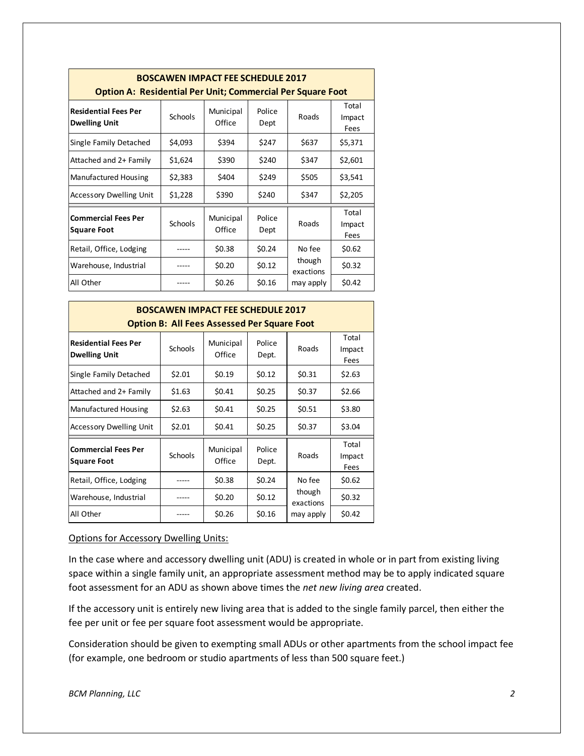| <b>Option A: Residential Per Unit; Commercial Per Square Foot</b> |                | <b>BOSCAWEN IMPACT FEE SCHEDULE 2017</b> |                |                     |                         |
|-------------------------------------------------------------------|----------------|------------------------------------------|----------------|---------------------|-------------------------|
| <b>Residential Fees Per</b><br><b>Dwelling Unit</b>               | <b>Schools</b> | Municipal<br>Office                      | Police<br>Dept | Roads               | Total<br>Impact<br>Fees |
| Single Family Detached                                            | \$4,093        | \$394                                    | \$247          | \$637               | \$5,371                 |
| Attached and 2+ Family                                            | \$1,624        | \$390                                    | \$240          | \$347               | \$2,601                 |
| Manufactured Housing                                              | \$2,383        | \$404                                    | \$249          | \$505               | \$3,541                 |
| <b>Accessory Dwelling Unit</b>                                    | \$1,228        | \$390                                    | \$240          | \$347               | \$2,205                 |
| <b>Commercial Fees Per</b><br><b>Square Foot</b>                  | <b>Schools</b> | Municipal<br>Office                      | Police<br>Dept | Roads               | Total<br>Impact<br>Fees |
| Retail, Office, Lodging                                           |                | \$0.38                                   | \$0.24         | No fee              | \$0.62                  |
| Warehouse, Industrial                                             |                | \$0.20                                   | \$0.12         | though<br>exactions | \$0.32                  |
| All Other                                                         |                | \$0.26                                   | \$0.16         | may apply           | \$0.42                  |

|                                                     |                | <b>BOSCAWEN IMPACT FEE SCHEDULE 2017</b><br><b>Option B: All Fees Assessed Per Square Foot</b> |                 |                     |                         |
|-----------------------------------------------------|----------------|------------------------------------------------------------------------------------------------|-----------------|---------------------|-------------------------|
| <b>Residential Fees Per</b><br><b>Dwelling Unit</b> | <b>Schools</b> | Municipal<br>Office                                                                            | Police<br>Dept. | Roads               | Total<br>Impact<br>Fees |
| Single Family Detached                              | \$2.01         | \$0.19                                                                                         | \$0.12          | \$0.31              | \$2.63                  |
| Attached and 2+ Family                              | \$1.63         | \$0.41                                                                                         | \$0.25          | \$0.37              | \$2.66                  |
| Manufactured Housing                                | \$2.63         | \$0.41                                                                                         | \$0.25          | \$0.51              | \$3.80                  |
| Accessory Dwelling Unit                             | \$2.01         | \$0.41                                                                                         | \$0.25          | \$0.37              | \$3.04                  |
| <b>Commercial Fees Per</b><br><b>Square Foot</b>    | <b>Schools</b> | Municipal<br>Office                                                                            | Police<br>Dept. | Roads               | Total<br>Impact<br>Fees |
| Retail, Office, Lodging                             |                | \$0.38                                                                                         | \$0.24          | No fee              | \$0.62                  |
| Warehouse, Industrial                               |                | \$0.20                                                                                         | \$0.12          | though<br>exactions | \$0.32                  |
| All Other                                           |                | \$0.26                                                                                         | \$0.16          | may apply           | \$0.42                  |

#### Options for Accessory Dwelling Units:

In the case where and accessory dwelling unit (ADU) is created in whole or in part from existing living space within a single family unit, an appropriate assessment method may be to apply indicated square foot assessment for an ADU as shown above times the *net new living area* created.

If the accessory unit is entirely new living area that is added to the single family parcel, then either the fee per unit or fee per square foot assessment would be appropriate.

Consideration should be given to exempting small ADUs or other apartments from the school impact fee (for example, one bedroom or studio apartments of less than 500 square feet.)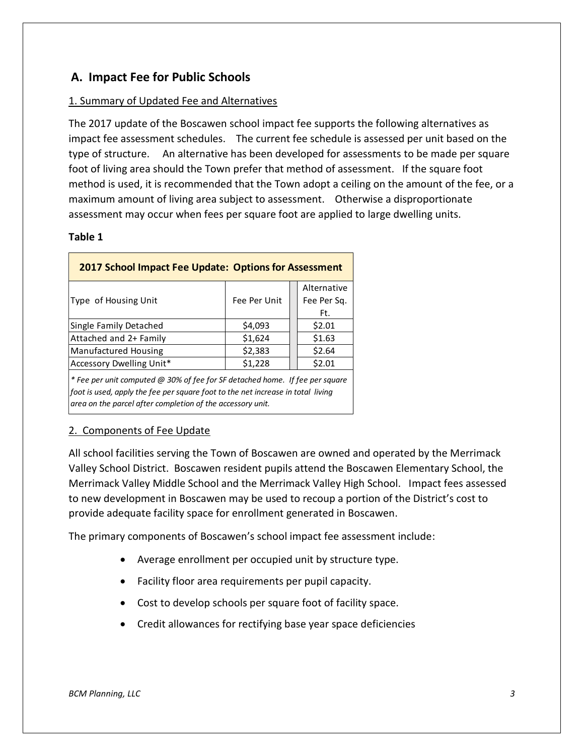# **A. Impact Fee for Public Schools**

### 1. Summary of Updated Fee and Alternatives

The 2017 update of the Boscawen school impact fee supports the following alternatives as impact fee assessment schedules. The current fee schedule is assessed per unit based on the type of structure. An alternative has been developed for assessments to be made per square foot of living area should the Town prefer that method of assessment. If the square foot method is used, it is recommended that the Town adopt a ceiling on the amount of the fee, or a maximum amount of living area subject to assessment. Otherwise a disproportionate assessment may occur when fees per square foot are applied to large dwelling units.

#### **Table 1**

| <b>2017 School Impact Fee Update: Options for Assessment</b>                 |              |                            |
|------------------------------------------------------------------------------|--------------|----------------------------|
| Type of Housing Unit                                                         | Fee Per Unit | Alternative<br>Fee Per Sq. |
|                                                                              |              | Ft.                        |
| Single Family Detached                                                       | \$4,093      | \$2.01                     |
| Attached and 2+ Family                                                       | \$1,624      | \$1.63                     |
| Manufactured Housing                                                         | \$2,383      | \$2.64                     |
| Accessory Dwelling Unit*                                                     | \$1,228      | \$2.01                     |
| * Fee per unit computed @ 30% of fee for SF detached home. If fee per square |              |                            |

*foot is used, apply the fee per square foot to the net increase in total living area on the parcel after completion of the accessory unit.*

### 2. Components of Fee Update

All school facilities serving the Town of Boscawen are owned and operated by the Merrimack Valley School District. Boscawen resident pupils attend the Boscawen Elementary School, the Merrimack Valley Middle School and the Merrimack Valley High School. Impact fees assessed to new development in Boscawen may be used to recoup a portion of the District's cost to provide adequate facility space for enrollment generated in Boscawen.

The primary components of Boscawen's school impact fee assessment include:

- Average enrollment per occupied unit by structure type.
- Facility floor area requirements per pupil capacity.
- Cost to develop schools per square foot of facility space.
- Credit allowances for rectifying base year space deficiencies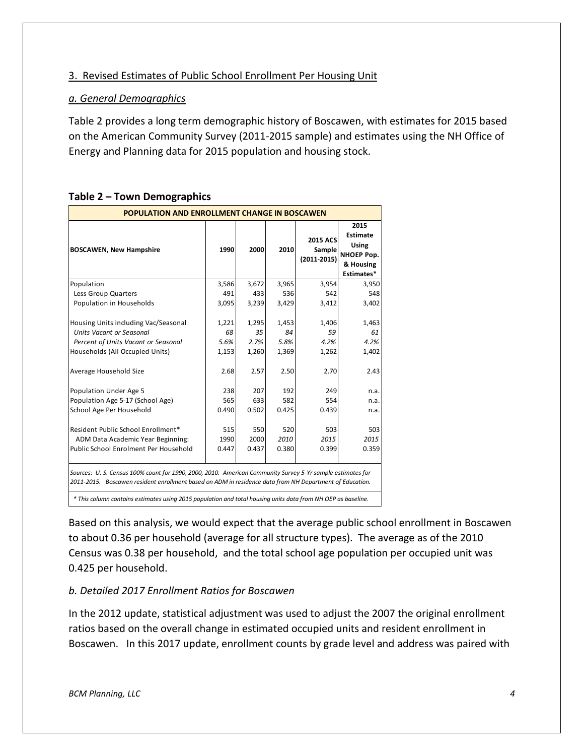### 3. Revised Estimates of Public School Enrollment Per Housing Unit

#### *a. General Demographics*

Table 2 provides a long term demographic history of Boscawen, with estimates for 2015 based on the American Community Survey (2011-2015 sample) and estimates using the NH Office of Energy and Planning data for 2015 population and housing stock.

| <b>POPULATION AND ENROLLMENT CHANGE IN BOSCAWEN</b>                                                                                                                                                                   |       |       |       |                                              |                                                                                  |
|-----------------------------------------------------------------------------------------------------------------------------------------------------------------------------------------------------------------------|-------|-------|-------|----------------------------------------------|----------------------------------------------------------------------------------|
| <b>BOSCAWEN, New Hampshire</b>                                                                                                                                                                                        | 1990  | 2000  | 2010  | <b>2015 ACS</b><br>Sample<br>$(2011 - 2015)$ | 2015<br><b>Estimate</b><br><b>Using</b><br>NHOEP Pop.<br>& Housing<br>Estimates* |
| Population                                                                                                                                                                                                            | 3,586 | 3,672 | 3,965 | 3,954                                        | 3,950                                                                            |
| Less Group Quarters                                                                                                                                                                                                   | 491   | 433   | 536   | 542                                          | 548                                                                              |
| Population in Households                                                                                                                                                                                              | 3,095 | 3,239 | 3,429 | 3,412                                        | 3,402                                                                            |
| Housing Units including Vac/Seasonal                                                                                                                                                                                  | 1,221 | 1,295 | 1,453 | 1,406                                        | 1,463                                                                            |
| <b>Units Vacant or Seasonal</b>                                                                                                                                                                                       | 68    | 35    | 84    | 59                                           | 61                                                                               |
| Percent of Units Vacant or Seasonal                                                                                                                                                                                   | 5.6%  | 2.7%  | 5.8%  | 4.2%                                         | 4.2%                                                                             |
| Households (All Occupied Units)                                                                                                                                                                                       | 1,153 | 1,260 | 1,369 | 1,262                                        | 1,402                                                                            |
| Average Household Size                                                                                                                                                                                                | 2.68  | 2.57  | 2.50  | 2.70                                         | 2.43                                                                             |
| Population Under Age 5                                                                                                                                                                                                | 238   | 207   | 192   | 249                                          | n.a.                                                                             |
| Population Age 5-17 (School Age)                                                                                                                                                                                      | 565   | 633   | 582   | 554                                          | n.a.                                                                             |
| School Age Per Household                                                                                                                                                                                              | 0.490 | 0.502 | 0.425 | 0.439                                        | n.a.                                                                             |
| Resident Public School Enrollment*                                                                                                                                                                                    | 515   | 550   | 520   | 503                                          | 503                                                                              |
| ADM Data Academic Year Beginning:                                                                                                                                                                                     | 1990  | 2000  | 2010  | 2015                                         | 2015                                                                             |
| Public School Enrolment Per Household                                                                                                                                                                                 | 0.447 | 0.437 | 0.380 | 0.399                                        | 0.359                                                                            |
| Sources: U. S. Census 100% count for 1990, 2000, 2010. American Community Survey 5-Yr sample estimates for<br>2011-2015. Boscawen resident enrollment based on ADM in residence data from NH Department of Education. |       |       |       |                                              |                                                                                  |

#### **Table 2 – Town Demographics**

 *\* This column contains estimates using 2015 population and total housing units data from NH OEP as baseline.*

Based on this analysis, we would expect that the average public school enrollment in Boscawen to about 0.36 per household (average for all structure types). The average as of the 2010 Census was 0.38 per household, and the total school age population per occupied unit was 0.425 per household.

### *b. Detailed 2017 Enrollment Ratios for Boscawen*

In the 2012 update, statistical adjustment was used to adjust the 2007 the original enrollment ratios based on the overall change in estimated occupied units and resident enrollment in Boscawen. In this 2017 update, enrollment counts by grade level and address was paired with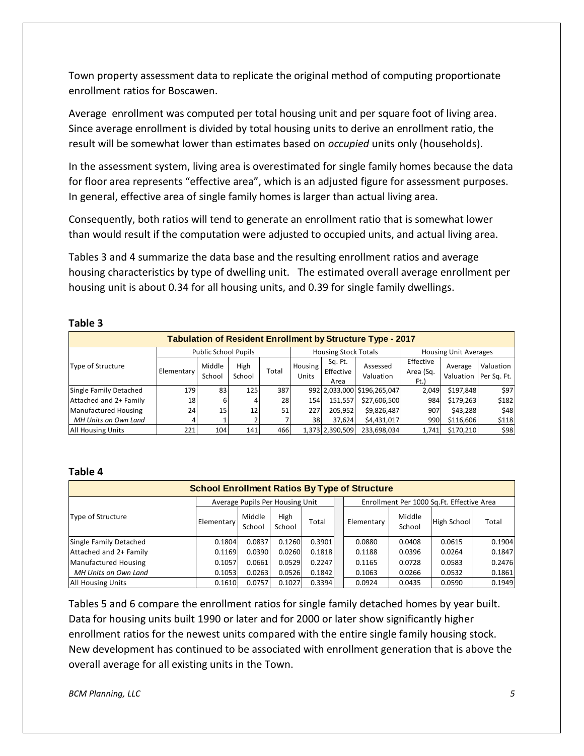Town property assessment data to replicate the original method of computing proportionate enrollment ratios for Boscawen.

Average enrollment was computed per total housing unit and per square foot of living area. Since average enrollment is divided by total housing units to derive an enrollment ratio, the result will be somewhat lower than estimates based on *occupied* units only (households).

In the assessment system, living area is overestimated for single family homes because the data for floor area represents "effective area", which is an adjusted figure for assessment purposes. In general, effective area of single family homes is larger than actual living area.

Consequently, both ratios will tend to generate an enrollment ratio that is somewhat lower than would result if the computation were adjusted to occupied units, and actual living area.

Tables 3 and 4 summarize the data base and the resulting enrollment ratios and average housing characteristics by type of dwelling unit. The estimated overall average enrollment per housing unit is about 0.34 for all housing units, and 0.39 for single family dwellings.

#### **Table 3**

| <b>Tabulation of Resident Enrollment by Structure Type - 2017</b> |            |                             |                |       |                         |                              |                             |                                |                              |                                      |
|-------------------------------------------------------------------|------------|-----------------------------|----------------|-------|-------------------------|------------------------------|-----------------------------|--------------------------------|------------------------------|--------------------------------------|
|                                                                   |            | <b>Public School Pupils</b> |                |       |                         | <b>Housing Stock Totals</b>  |                             |                                | <b>Housing Unit Averages</b> |                                      |
| Type of Structure                                                 | Elementary | Middle<br>School            | High<br>School | Total | Housing<br><b>Units</b> | Sq. Ft.<br>Effective<br>Area | Assessed<br>Valuation       | Effective<br>Area (Sq.<br>Ft.) | Average                      | Valuation<br>Valuation   Per Sq. Ft. |
| Single Family Detached                                            | 179        | 83                          | 125            | 387   |                         |                              | 992 2,033,000 \$196,265,047 | 2,049                          | \$197,848                    | \$97                                 |
| Attached and 2+ Family                                            | 18         | 6                           |                | 28    | 154                     | 151,557                      | \$27,606,500                | 984                            | \$179,263                    | \$182                                |
| Manufactured Housing                                              | 24         | 15                          | 12             | 51    | 227                     | 205,952                      | \$9,826,487                 | 907                            | \$43,288                     | \$48                                 |
| MH Units on Own Land                                              |            |                             |                |       | 38                      | 37.624                       | \$4,431,017                 | 990                            | \$116,606                    | \$118                                |
| <b>All Housing Units</b>                                          | 221        | 104                         | 141            | 466   |                         | 1,373 2,390,509              | 233,698,034                 | 1.741                          | \$170,210                    | \$98                                 |

#### **Table 4**

| <b>School Enrollment Ratios By Type of Structure</b> |                   |                  |                                 |        |  |            |                  |                                           |        |
|------------------------------------------------------|-------------------|------------------|---------------------------------|--------|--|------------|------------------|-------------------------------------------|--------|
|                                                      |                   |                  | Average Pupils Per Housing Unit |        |  |            |                  | Enrollment Per 1000 Sq.Ft. Effective Area |        |
| Type of Structure                                    | <b>Elementary</b> | Middle<br>School | High<br>School                  | Total  |  | Elementary | Middle<br>School | High School                               | Total  |
| Single Family Detached                               | 0.1804            | 0.0837           | 0.1260                          | 0.3901 |  | 0.0880     | 0.0408           | 0.0615                                    | 0.1904 |
| Attached and 2+ Family                               | 0.1169            | 0.0390           | 0.0260                          | 0.1818 |  | 0.1188     | 0.0396           | 0.0264                                    | 0.1847 |
| Manufactured Housing                                 | 0.1057            | 0.0661           | 0.0529                          | 0.2247 |  | 0.1165     | 0.0728           | 0.0583                                    | 0.2476 |
| MH Units on Own Land                                 | 0.1053            | 0.0263           | 0.0526                          | 0.1842 |  | 0.1063     | 0.0266           | 0.0532                                    | 0.1861 |
| <b>All Housing Units</b>                             | 0.1610            | 0.0757           | 0.1027                          | 0.3394 |  | 0.0924     | 0.0435           | 0.0590                                    | 0.1949 |

Tables 5 and 6 compare the enrollment ratios for single family detached homes by year built. Data for housing units built 1990 or later and for 2000 or later show significantly higher enrollment ratios for the newest units compared with the entire single family housing stock. New development has continued to be associated with enrollment generation that is above the overall average for all existing units in the Town.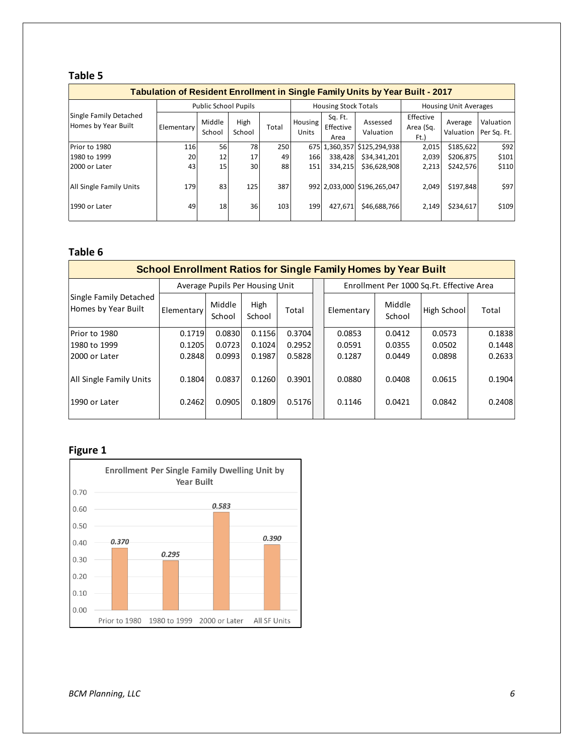### **Table 5**

|                                               | Tabulation of Resident Enrollment in Single Family Units by Year Built - 2017 |                             |                |       |                  |                              |                             |                               |                              |                          |  |
|-----------------------------------------------|-------------------------------------------------------------------------------|-----------------------------|----------------|-------|------------------|------------------------------|-----------------------------|-------------------------------|------------------------------|--------------------------|--|
|                                               |                                                                               | <b>Public School Pupils</b> |                |       |                  | <b>Housing Stock Totals</b>  |                             |                               | <b>Housing Unit Averages</b> |                          |  |
| Single Family Detached<br>Homes by Year Built | <b>Elementary</b>                                                             | Middle<br>School            | High<br>School | Total | Housing<br>Units | Sq. Ft.<br>Effective<br>Area | Assessed<br>Valuation       | Effective<br>Area (Sq.<br>Ft. | Average<br>Valuation         | Valuation<br>Per Sq. Ft. |  |
| Prior to 1980                                 | 116                                                                           | 56                          | 78             | 250   |                  |                              | 675 1,360,357 \$125,294,938 | 2,015                         | \$185,622                    | \$92                     |  |
| 1980 to 1999                                  | 20                                                                            | 12                          | 17             | 49    | 166              | 338,428                      | \$34,341,201                | 2,039                         | \$206,875                    | \$101                    |  |
| 2000 or Later                                 | 43                                                                            | 15                          | 30             | 88    | 151              | 334.215                      | \$36,628,908                | 2,213                         | \$242,576                    | \$110                    |  |
| <b>All Single Family Units</b>                | 179                                                                           | 83                          | 125            | 387   |                  |                              | 992 2,033,000 \$196,265,047 | 2,049                         | \$197,848                    | \$97                     |  |
| 1990 or Later                                 | 49                                                                            | 18                          | 36             | 103   | 199              | 427.671                      | \$46,688,766                | 2,149                         | \$234,617                    | \$109                    |  |

#### **Table 6**

|                                               | <b>School Enrollment Ratios for Single Family Homes by Year Built</b> |                                 |                |        |  |            |                  |                                           |        |  |
|-----------------------------------------------|-----------------------------------------------------------------------|---------------------------------|----------------|--------|--|------------|------------------|-------------------------------------------|--------|--|
|                                               |                                                                       | Average Pupils Per Housing Unit |                |        |  |            |                  | Enrollment Per 1000 Sq.Ft. Effective Area |        |  |
| Single Family Detached<br>Homes by Year Built | Elementary                                                            | Middle<br>School                | High<br>School | Total  |  | Elementary | Middle<br>School | High School                               | Total  |  |
| Prior to 1980                                 | 0.1719                                                                | 0.0830                          | 0.1156         | 0.3704 |  | 0.0853     | 0.0412           | 0.0573                                    | 0.1838 |  |
| 1980 to 1999                                  | 0.1205                                                                | 0.0723                          | 0.1024         | 0.2952 |  | 0.0591     | 0.0355           | 0.0502                                    | 0.1448 |  |
| l2000 or Later                                | 0.2848                                                                | 0.0993                          | 0.1987         | 0.5828 |  | 0.1287     | 0.0449           | 0.0898                                    | 0.2633 |  |
| All Single Family Units                       | 0.1804                                                                | 0.0837                          | 0.1260         | 0.3901 |  | 0.0880     | 0.0408           | 0.0615                                    | 0.1904 |  |
| 1990 or Later                                 | 0.2462                                                                | 0.0905                          | 0.1809         | 0.5176 |  | 0.1146     | 0.0421           | 0.0842                                    | 0.2408 |  |
|                                               |                                                                       |                                 |                |        |  |            |                  |                                           |        |  |

# **Figure 1**



*BCM Planning, LLC*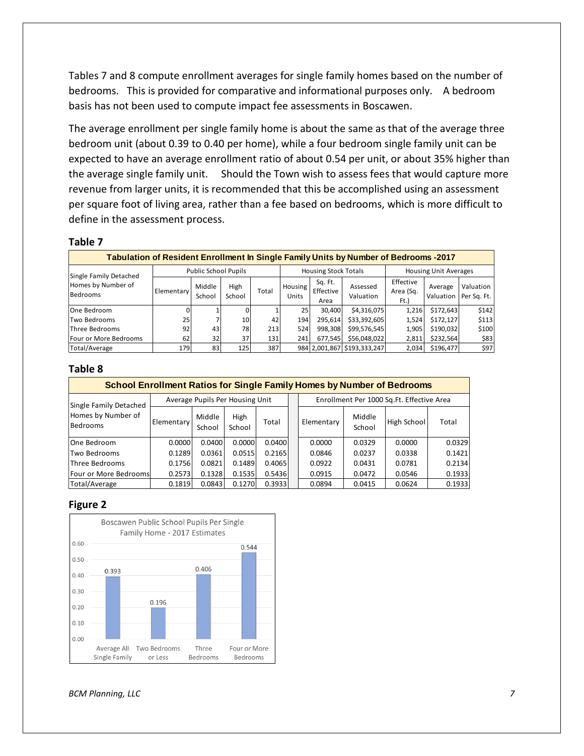Tables 7 and 8 compute enrollment averages for single family homes based on the number of bedrooms. This is provided for comparative and informational purposes only. A bedroom basis has not been used to compute impact fee assessments in Boscawen.

The average enrollment per single family home is about the same as that of the average three bedroom unit (about 0.39 to 0.40 per home), while a four bedroom single family unit can be expected to have an average enrollment ratio of about 0.54 per unit, or about 35% higher than the average single family unit. Should the Town wish to assess fees that would capture more revenue from larger units, it is recommended that this be accomplished using an assessment per square foot of living area, rather than a fee based on bedrooms, which is more difficult to define in the assessment process.

#### **Table 7**

| Tabulation of Resident Enrollment In Single Family Units by Number of Bedrooms -2017 |            |                      |                |       |                  |                              |                             |                                |                              |                          |
|--------------------------------------------------------------------------------------|------------|----------------------|----------------|-------|------------------|------------------------------|-----------------------------|--------------------------------|------------------------------|--------------------------|
| Single Family Detached                                                               |            | Public School Pupils |                |       |                  | <b>Housing Stock Totals</b>  |                             |                                | <b>Housing Unit Averages</b> |                          |
| Homes by Number of<br>Bedrooms                                                       | Elementary | Middle<br>School     | High<br>School | Total | Housing<br>Units | Sq. Ft.<br>Effective<br>Area | Assessed<br>Valuation       | Effective<br>Area (Sq.<br>Ft.) | Average<br>Valuation         | Valuation<br>Per Sq. Ft. |
| One Bedroom                                                                          |            |                      |                |       | 25               | 30.400                       | \$4,316,075                 | 1,216                          | \$172,643                    | \$142                    |
| Two Bedrooms                                                                         | 25         |                      | 10             | 42    | 194              | 295,614                      | \$33,392,605                | 1,524                          | \$172,127                    | \$113                    |
| Three Bedrooms                                                                       | 92         | 43                   | 78             | 213   | 524              | 998.308                      | \$99,576,545                | 1,905                          | \$190,032                    | \$100                    |
| Four or More Bedrooms                                                                | 62         | 32                   | 37             | 131   | 241              | 677.545                      | \$56,048,022                | 2,811                          | \$232,564                    | \$83                     |
| Total/Average                                                                        | 179        | 83                   | 125            | 387   |                  |                              | 984 2,001,867 \$193,333,247 | 2,034                          | \$196,477                    | \$97                     |

#### **Table 8**

| <b>School Enrollment Ratios for Single Family Homes by Number of Bedrooms</b> |            |                                 |                |        |            |                  |                                           |        |
|-------------------------------------------------------------------------------|------------|---------------------------------|----------------|--------|------------|------------------|-------------------------------------------|--------|
| Single Family Detached                                                        |            | Average Pupils Per Housing Unit |                |        |            |                  | Enrollment Per 1000 Sq.Ft. Effective Area |        |
| Homes by Number of<br><b>Bedrooms</b>                                         | Elementary | Middle<br>School                | High<br>School | Total  | Elementary | Middle<br>School | High School                               | Total  |
| One Bedroom                                                                   | 0.0000     | 0.0400                          | 0.0000         | 0.0400 | 0.0000     | 0.0329           | 0.0000                                    | 0.0329 |
| Two Bedrooms                                                                  | 0.1289     | 0.0361                          | 0.0515         | 0.2165 | 0.0846     | 0.0237           | 0.0338                                    | 0.1421 |
| Three Bedrooms                                                                | 0.1756     | 0.0821                          | 0.1489         | 0.4065 | 0.0922     | 0.0431           | 0.0781                                    | 0.2134 |
| Four or More Bedrooms                                                         | 0.2573     | 0.1328                          | 0.1535         | 0.5436 | 0.0915     | 0.0472           | 0.0546                                    | 0.1933 |
| Total/Average                                                                 | 0.1819     | 0.0843                          | 0.1270         | 0.3933 | 0.0894     | 0.0415           | 0.0624                                    | 0.1933 |

#### **Figure 2**



*BCM Planning, LLC*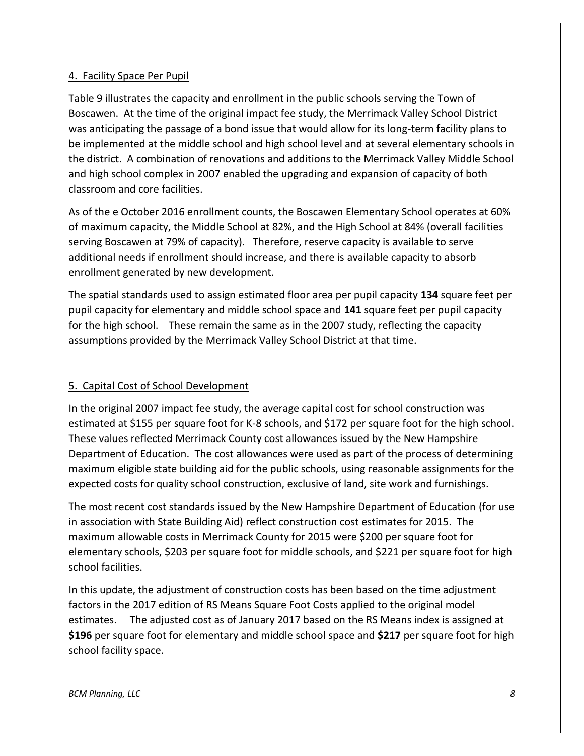#### 4. Facility Space Per Pupil

Table 9 illustrates the capacity and enrollment in the public schools serving the Town of Boscawen. At the time of the original impact fee study, the Merrimack Valley School District was anticipating the passage of a bond issue that would allow for its long-term facility plans to be implemented at the middle school and high school level and at several elementary schools in the district. A combination of renovations and additions to the Merrimack Valley Middle School and high school complex in 2007 enabled the upgrading and expansion of capacity of both classroom and core facilities.

As of the e October 2016 enrollment counts, the Boscawen Elementary School operates at 60% of maximum capacity, the Middle School at 82%, and the High School at 84% (overall facilities serving Boscawen at 79% of capacity). Therefore, reserve capacity is available to serve additional needs if enrollment should increase, and there is available capacity to absorb enrollment generated by new development.

The spatial standards used to assign estimated floor area per pupil capacity **134** square feet per pupil capacity for elementary and middle school space and **141** square feet per pupil capacity for the high school. These remain the same as in the 2007 study, reflecting the capacity assumptions provided by the Merrimack Valley School District at that time.

### 5. Capital Cost of School Development

In the original 2007 impact fee study, the average capital cost for school construction was estimated at \$155 per square foot for K-8 schools, and \$172 per square foot for the high school. These values reflected Merrimack County cost allowances issued by the New Hampshire Department of Education. The cost allowances were used as part of the process of determining maximum eligible state building aid for the public schools, using reasonable assignments for the expected costs for quality school construction, exclusive of land, site work and furnishings.

The most recent cost standards issued by the New Hampshire Department of Education (for use in association with State Building Aid) reflect construction cost estimates for 2015. The maximum allowable costs in Merrimack County for 2015 were \$200 per square foot for elementary schools, \$203 per square foot for middle schools, and \$221 per square foot for high school facilities.

In this update, the adjustment of construction costs has been based on the time adjustment factors in the 2017 edition of RS Means Square Foot Costs applied to the original model estimates. The adjusted cost as of January 2017 based on the RS Means index is assigned at **\$196** per square foot for elementary and middle school space and **\$217** per square foot for high school facility space.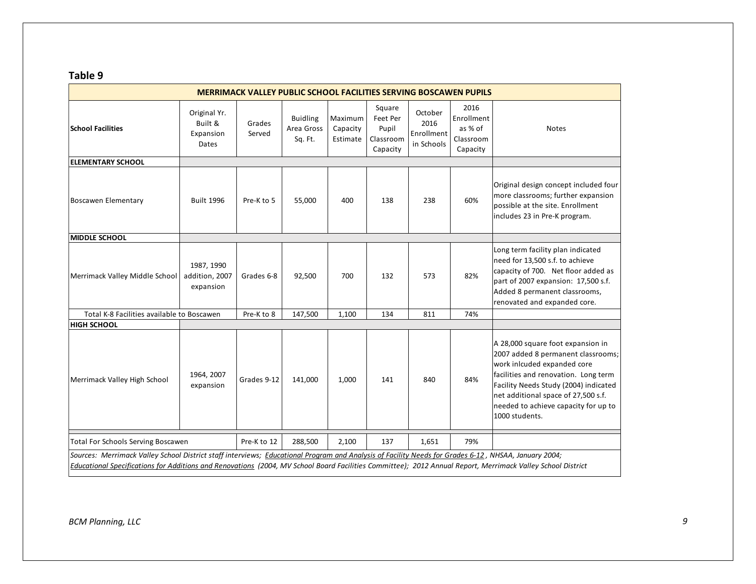### **Table 9**

|                                                                                                                                                                                                                                                                                                                     |                                               | <b>MERRIMACK VALLEY PUBLIC SCHOOL FACILITIES SERVING BOSCAWEN PUPILS</b> |                                          |                                 |                                                      |                                             |                                                        |                                                                                                                                                                                                                                                                                          |
|---------------------------------------------------------------------------------------------------------------------------------------------------------------------------------------------------------------------------------------------------------------------------------------------------------------------|-----------------------------------------------|--------------------------------------------------------------------------|------------------------------------------|---------------------------------|------------------------------------------------------|---------------------------------------------|--------------------------------------------------------|------------------------------------------------------------------------------------------------------------------------------------------------------------------------------------------------------------------------------------------------------------------------------------------|
| <b>School Facilities</b>                                                                                                                                                                                                                                                                                            | Original Yr.<br>Built &<br>Expansion<br>Dates | Grades<br>Served                                                         | <b>Buidling</b><br>Area Gross<br>Sq. Ft. | Maximum<br>Capacity<br>Estimate | Square<br>Feet Per<br>Pupil<br>Classroom<br>Capacity | October<br>2016<br>Enrollment<br>in Schools | 2016<br>Enrollment<br>as % of<br>Classroom<br>Capacity | Notes                                                                                                                                                                                                                                                                                    |
| <b>ELEMENTARY SCHOOL</b>                                                                                                                                                                                                                                                                                            |                                               |                                                                          |                                          |                                 |                                                      |                                             |                                                        |                                                                                                                                                                                                                                                                                          |
| <b>Boscawen Elementary</b>                                                                                                                                                                                                                                                                                          | <b>Built 1996</b>                             | Pre-K to 5                                                               | 55,000                                   | 400                             | 138                                                  | 238                                         | 60%                                                    | Original design concept included four<br>more classrooms; further expansion<br>possible at the site. Enrollment<br>includes 23 in Pre-K program.                                                                                                                                         |
| <b>MIDDLE SCHOOL</b>                                                                                                                                                                                                                                                                                                |                                               |                                                                          |                                          |                                 |                                                      |                                             |                                                        |                                                                                                                                                                                                                                                                                          |
| Merrimack Valley Middle School                                                                                                                                                                                                                                                                                      | 1987, 1990<br>addition, 2007<br>expansion     | Grades 6-8                                                               | 92,500                                   | 700                             | 132                                                  | 573                                         | 82%                                                    | Long term facility plan indicated<br>need for 13,500 s.f. to achieve<br>capacity of 700. Net floor added as<br>part of 2007 expansion: 17,500 s.f.<br>Added 8 permanent classrooms,<br>renovated and expanded core.                                                                      |
| Total K-8 Facilities available to Boscawen                                                                                                                                                                                                                                                                          |                                               | Pre-K to 8                                                               | 147,500                                  | 1,100                           | 134                                                  | 811                                         | 74%                                                    |                                                                                                                                                                                                                                                                                          |
| <b>HIGH SCHOOL</b>                                                                                                                                                                                                                                                                                                  |                                               |                                                                          |                                          |                                 |                                                      |                                             |                                                        |                                                                                                                                                                                                                                                                                          |
| Merrimack Valley High School                                                                                                                                                                                                                                                                                        | 1964, 2007<br>expansion                       | Grades 9-12                                                              | 141,000                                  | 1,000                           | 141                                                  | 840                                         | 84%                                                    | A 28,000 square foot expansion in<br>2007 added 8 permanent classrooms;<br>work inlcuded expanded core<br>facilities and renovation. Long term<br>Facility Needs Study (2004) indicated<br>net additional space of 27,500 s.f.<br>needed to achieve capacity for up to<br>1000 students. |
| <b>Total For Schools Serving Boscawen</b>                                                                                                                                                                                                                                                                           |                                               | Pre-K to 12                                                              | 288,500                                  | 2,100                           | 137                                                  | 1,651                                       | 79%                                                    |                                                                                                                                                                                                                                                                                          |
| Sources: Merrimack Valley School District staff interviews; Educational Program and Analysis of Facility Needs for Grades 6-12, NHSAA, January 2004;<br>Educational Specifications for Additions and Renovations (2004, MV School Board Facilities Committee); 2012 Annual Report, Merrimack Valley School District |                                               |                                                                          |                                          |                                 |                                                      |                                             |                                                        |                                                                                                                                                                                                                                                                                          |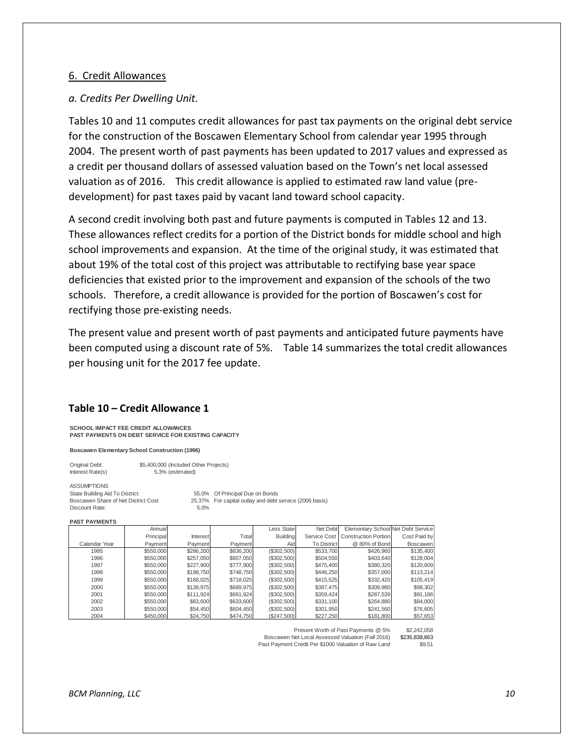#### 6. Credit Allowances

#### *a. Credits Per Dwelling Unit.*

Tables 10 and 11 computes credit allowances for past tax payments on the original debt service for the construction of the Boscawen Elementary School from calendar year 1995 through 2004. The present worth of past payments has been updated to 2017 values and expressed as a credit per thousand dollars of assessed valuation based on the Town's net local assessed valuation as of 2016. This credit allowance is applied to estimated raw land value (predevelopment) for past taxes paid by vacant land toward school capacity.

A second credit involving both past and future payments is computed in Tables 12 and 13. These allowances reflect credits for a portion of the District bonds for middle school and high school improvements and expansion. At the time of the original study, it was estimated that about 19% of the total cost of this project was attributable to rectifying base year space deficiencies that existed prior to the improvement and expansion of the schools of the two schools. Therefore, a credit allowance is provided for the portion of Boscawen's cost for rectifying those pre-existing needs.

The present value and present worth of past payments and anticipated future payments have been computed using a discount rate of 5%. Table 14 summarizes the total credit allowances per housing unit for the 2017 fee update.

#### **Table 10 – Credit Allowance 1**

**SCHOOL IMPACT FEE CREDIT ALLOWANCES PAST PAYMENTS ON DEBT SERVICE FOR EXISTING CAPACITY**

**Boscawen Elementary School Construction (1996)**

| Original Debt:   | \$5,400,000 (Included Other Projects) |
|------------------|---------------------------------------|
| Interest Rate(s) | 5.3% (estimated)                      |

ASSUMPTIONS<br>State Building Aid To District: Discount Rate: 5.0%

55.0% Of Principal Due on Bonds Boscawen Share of Net District Cost 25.37% For capital outlay and debt service (2006 basis)

#### **PAST PAYMENTS**

|               | Annual    |           |           | Less State      | Net Debt           | Elementary School Net Debt Service |              |
|---------------|-----------|-----------|-----------|-----------------|--------------------|------------------------------------|--------------|
|               | Principal | Interest  | Total     | <b>Building</b> |                    | Service Cost Construction Portion  | Cost Paid by |
| Calendar Year | Payment   | Payment   | Payment   | Aid             | <b>To District</b> | @ 80% of Bond                      | Boscawen     |
| 1995          | \$550,000 | \$286,200 | \$836,200 | (S302, 500)     | \$533,700          | \$426,960                          | \$135,400    |
| 1996          | \$550,000 | \$257,050 | \$807.050 | (\$302,500)     | \$504.550          | \$403,640                          | \$128,004    |
| 1997          | \$550,000 | \$227,900 | \$777,900 | (\$302,500)     | \$475,400          | \$380,320                          | \$120,609    |
| 1998          | \$550,000 | \$198,750 | \$748.750 | (\$302,500)     | \$446.250          | \$357,000                          | \$113,214    |
| 1999          | \$550,000 | \$168,025 | \$718.025 | (S302, 500)     | \$415,525          | \$332,420                          | \$105,419    |
| 2000          | \$550,000 | \$139,975 | \$689.975 | (\$302,500)     | \$387.475          | \$309,980                          | \$98,302     |
| 2001          | \$550,000 | \$111.924 | \$661.924 | (S302, 500)     | \$359.424          | \$287.539                          | \$91,186     |
| 2002          | \$550,000 | \$83,600  | \$633,600 | (\$302,500)     | \$331,100          | \$264,880                          | \$84,000     |
| 2003          | \$550,000 | \$54,450  | \$604,450 | (S302, 500)     | \$301,950          | \$241,560                          | \$76,605     |
| 2004          | \$450,000 | \$24,750  | \$474,750 | (\$247,500)     | \$227,250          | \$181,800                          | \$57,653     |

Present Worth of Past Payments @ 5% \$2,242,058

Boscawen Net Local Assessed Valuation (Fall 2016) \$235,838,863<br>Ast Payment Credit Per \$1000 Valuation of Raw Land \$9.51 Past Payment Credit Per \$1000 Valuation of Raw Land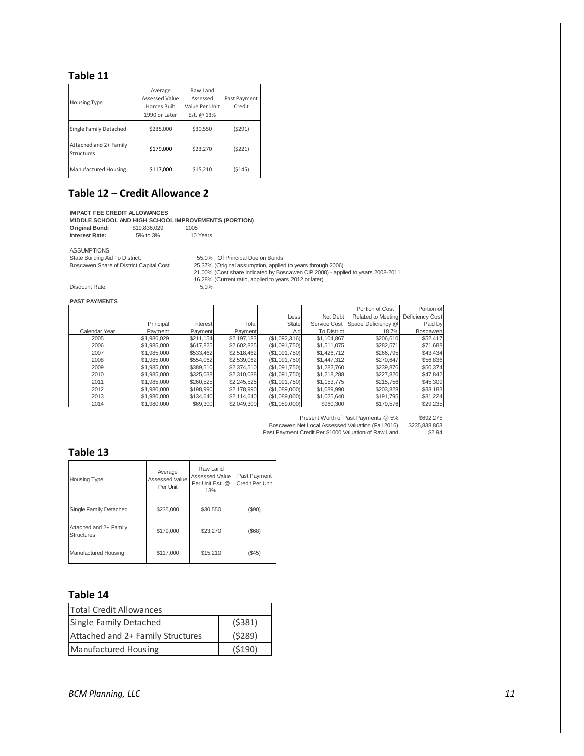### **Table 11**

| <b>Housing Type</b>                  | Average<br>Assessed Value<br>Homes Built<br>1990 or Later | Raw Land<br>Assessed<br>Value Per Unit<br>Est. @ 13% | Past Payment<br>Credit |
|--------------------------------------|-----------------------------------------------------------|------------------------------------------------------|------------------------|
| Single Family Detached               | \$235,000                                                 | \$30,550                                             | (5291)                 |
| Attached and 2+ Family<br>Structures | \$179,000                                                 | \$23,270                                             | (5221)                 |
| Manufactured Housing                 | \$117,000                                                 | \$15,210                                             | (5145)                 |

#### **Table 12 – Credit Allowance 2**

**IMPACT FEE CREDIT ALLOWANCES**

MIDDLE SCHOOL AND HIGH SCHOOL IMPROVEMENTS (PORTION)<br>Original Bond: \$19,836,029 2005

**Original Bond:** \$19,836,029 2005<br> **Interest Rate:** 5% to 3% 10 Years **Interest Rate:** 

ASSUMPTIONS

State Building Aid To District: 55.0% Of Principal Due on Bonds

25.37% (Original assumption, applied to years through 2006) 21.00% (Cost share indicated by Boscawen CIP 2008) - applied to years 2008-2011 16.28% (Current ratio, applied to years 2012 or later)

Discount Rate:

**PAST PAYMENTS**

|               |             |           |             |               |                    | Portion of Cost                 | Portion of      |
|---------------|-------------|-----------|-------------|---------------|--------------------|---------------------------------|-----------------|
|               |             |           |             | Less          | Net Debt           | Related to Meeting              | Deficiency Cost |
|               | Principal   | Interest  | Total       | <b>State</b>  |                    | Service Cost Space Deficiency @ | Paid by         |
| Calendar Year | Payment     | Payment   | Payment     | Aid           | <b>To District</b> | 18.7%                           | Boscawen        |
| 2005          | \$1,986,029 | \$211,154 | \$2,197,183 | (\$1,092,316) | \$1,104,867        | \$206,610                       | \$52,417        |
| 2006          | \$1,985,000 | \$617,825 | \$2,602,825 | (\$1,091,750) | \$1,511,075        | \$282.571                       | \$71,688        |
| 2007          | \$1,985,000 | \$533,462 | \$2,518,462 | (S1.091.750)  | \$1,426,712        | \$266,795                       | \$43,434        |
| 2008          | \$1,985,000 | \$554.062 | \$2,539,062 | (\$1,091,750) | \$1,447,312        | \$270.647                       | \$56,836        |
| 2009          | \$1,985,000 | \$389.510 | \$2,374,510 | (S1.091.750)  | \$1,282,760        | \$239,876                       | \$50,374        |
| 2010          | \$1,985,000 | \$325,038 | \$2,310,038 | (\$1,091,750) | \$1,218,288        | \$227,820                       | \$47,842        |
| 2011          | \$1,985,000 | \$260.525 | \$2,245,525 | (S1.091.750)  | \$1,153,775        | \$215,756                       | \$45,309        |
| 2012          | \$1,980,000 | \$198,990 | \$2,178,990 | (\$1,089,000) | \$1,089,990        | \$203.828                       | \$33,183        |
| 2013          | \$1,980,000 | \$134.640 | \$2,114,640 | (\$1,089,000) | \$1,025,640        | \$191.795                       | \$31,224        |
| 2014          | \$1,980,000 | \$69,300  | \$2,049,300 | (\$1,089,000) | \$960,300          | \$179.576                       | \$29,235        |

Present Worth of Past Payments @ 5% \$692,275

Boscawen Net Local Assessed Valuation (Fall 2016) \$235,838,863<br>ast Payment Credit Per \$1000 Valuation of Raw Land \$2.94

Past Payment Credit Per \$1000 Valuation of Raw Land

#### **Table 13**

| <b>Housing Type</b>                         | Average<br>Assessed Value<br>Per Unit | Raw Land<br>Assessed Value<br>Per Unit Est. @<br>13% | Past Payment<br>Credit Per Unit |
|---------------------------------------------|---------------------------------------|------------------------------------------------------|---------------------------------|
| Single Family Detached                      | \$235,000                             | \$30,550                                             | (\$90)                          |
| Attached and 2+ Family<br><b>Structures</b> | \$179,000                             | \$23,270                                             | $($ \$68)                       |
| Manufactured Housing                        | \$117,000                             | \$15,210                                             | $($ \$45)                       |

### **Table 14**

| <b>Total Credit Allowances</b>    |        |  |  |  |  |  |
|-----------------------------------|--------|--|--|--|--|--|
| <b>Single Family Detached</b>     | (5381) |  |  |  |  |  |
| Attached and 2+ Family Structures | (5289) |  |  |  |  |  |
| <b>Manufactured Housing</b>       | (5190) |  |  |  |  |  |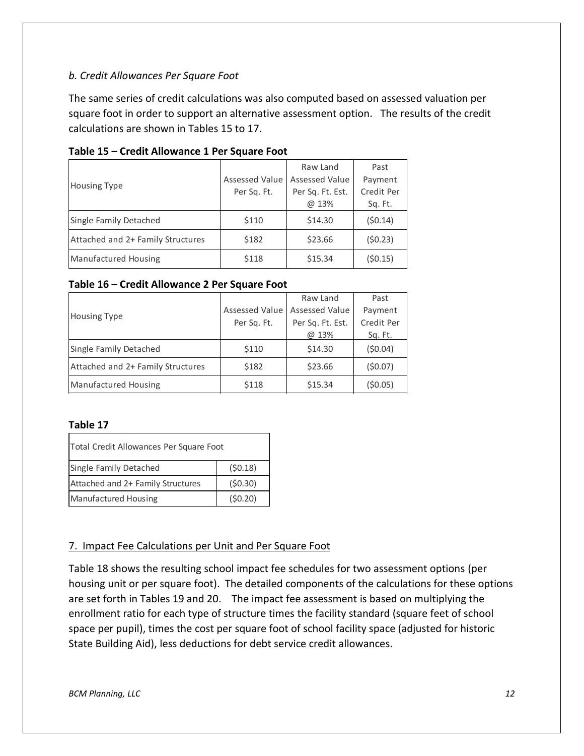### *b. Credit Allowances Per Square Foot*

The same series of credit calculations was also computed based on assessed valuation per square foot in order to support an alternative assessment option. The results of the credit calculations are shown in Tables 15 to 17.

|                                   |                | Raw Land              | Past       |
|-----------------------------------|----------------|-----------------------|------------|
| <b>Housing Type</b>               | Assessed Value | <b>Assessed Value</b> | Payment    |
|                                   | Per Sq. Ft.    | Per Sq. Ft. Est.      | Credit Per |
|                                   |                | @ 13%                 | Sq. Ft.    |
| Single Family Detached            | \$110          | \$14.30               | (50.14)    |
| Attached and 2+ Family Structures | \$182          | \$23.66               | (50.23)    |
| Manufactured Housing              | \$118          | \$15.34               | (50.15)    |

#### **Table 15 – Credit Allowance 1 Per Square Foot**

#### **Table 16 – Credit Allowance 2 Per Square Foot**

|                                   |                                 | Raw Land         | Past       |
|-----------------------------------|---------------------------------|------------------|------------|
|                                   | Assessed Value   Assessed Value |                  | Payment    |
| <b>Housing Type</b>               | Per Sq. Ft.                     | Per Sq. Ft. Est. | Credit Per |
|                                   |                                 | @ 13%            | Sq. Ft.    |
| Single Family Detached            | \$110                           | \$14.30          | (50.04)    |
| Attached and 2+ Family Structures | \$182                           | \$23.66          | (50.07)    |
| <b>Manufactured Housing</b>       | \$118                           | \$15.34          | (50.05)    |

### **Table 17**

| Total Credit Allowances Per Square Foot |         |  |  |  |  |  |
|-----------------------------------------|---------|--|--|--|--|--|
| (50.18)<br>Single Family Detached       |         |  |  |  |  |  |
| Attached and 2+ Family Structures       | (50.30) |  |  |  |  |  |
| (50.20)<br><b>Manufactured Housing</b>  |         |  |  |  |  |  |

### 7. Impact Fee Calculations per Unit and Per Square Foot

Table 18 shows the resulting school impact fee schedules for two assessment options (per housing unit or per square foot). The detailed components of the calculations for these options are set forth in Tables 19 and 20. The impact fee assessment is based on multiplying the enrollment ratio for each type of structure times the facility standard (square feet of school space per pupil), times the cost per square foot of school facility space (adjusted for historic State Building Aid), less deductions for debt service credit allowances.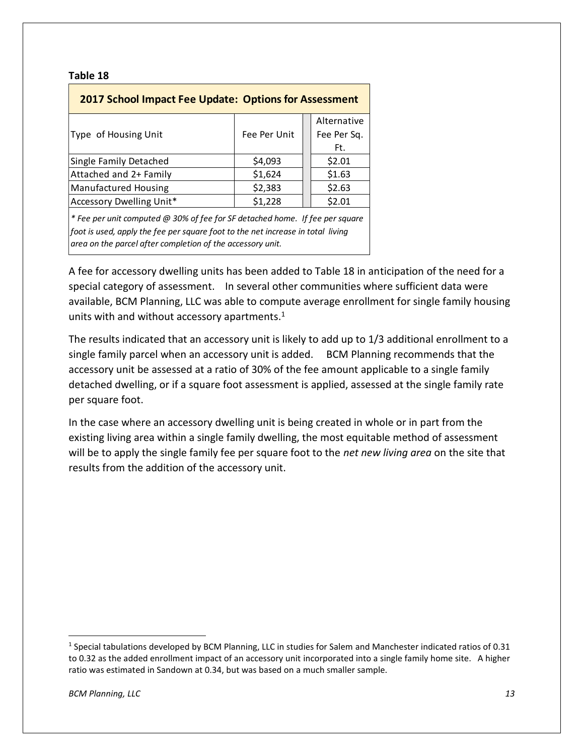#### **Table 18**

| <b>2017 School Impact Fee Update: Options for Assessment</b>                                                                                                                                                                  |              |                                   |  |  |  |  |  |  |
|-------------------------------------------------------------------------------------------------------------------------------------------------------------------------------------------------------------------------------|--------------|-----------------------------------|--|--|--|--|--|--|
| Type of Housing Unit                                                                                                                                                                                                          | Fee Per Unit | Alternative<br>Fee Per Sq.<br>Ft. |  |  |  |  |  |  |
| Single Family Detached                                                                                                                                                                                                        | \$4,093      | \$2.01                            |  |  |  |  |  |  |
| Attached and 2+ Family                                                                                                                                                                                                        | \$1,624      | \$1.63                            |  |  |  |  |  |  |
| <b>Manufactured Housing</b>                                                                                                                                                                                                   | \$2,383      | \$2.63                            |  |  |  |  |  |  |
| Accessory Dwelling Unit*                                                                                                                                                                                                      | \$1,228      | \$2.01                            |  |  |  |  |  |  |
| * Fee per unit computed @ 30% of fee for SF detached home. If fee per square<br>foot is used, apply the fee per square foot to the net increase in total living<br>area on the parcel after completion of the accessory unit. |              |                                   |  |  |  |  |  |  |

A fee for accessory dwelling units has been added to Table 18 in anticipation of the need for a special category of assessment. In several other communities where sufficient data were available, BCM Planning, LLC was able to compute average enrollment for single family housing units with and without accessory apartments.<sup>1</sup>

The results indicated that an accessory unit is likely to add up to 1/3 additional enrollment to a single family parcel when an accessory unit is added. BCM Planning recommends that the accessory unit be assessed at a ratio of 30% of the fee amount applicable to a single family detached dwelling, or if a square foot assessment is applied, assessed at the single family rate per square foot.

In the case where an accessory dwelling unit is being created in whole or in part from the existing living area within a single family dwelling, the most equitable method of assessment will be to apply the single family fee per square foot to the *net new living area* on the site that results from the addition of the accessory unit.

 $\overline{\phantom{a}}$ 

<sup>&</sup>lt;sup>1</sup> Special tabulations developed by BCM Planning, LLC in studies for Salem and Manchester indicated ratios of 0.31 to 0.32 as the added enrollment impact of an accessory unit incorporated into a single family home site. A higher ratio was estimated in Sandown at 0.34, but was based on a much smaller sample.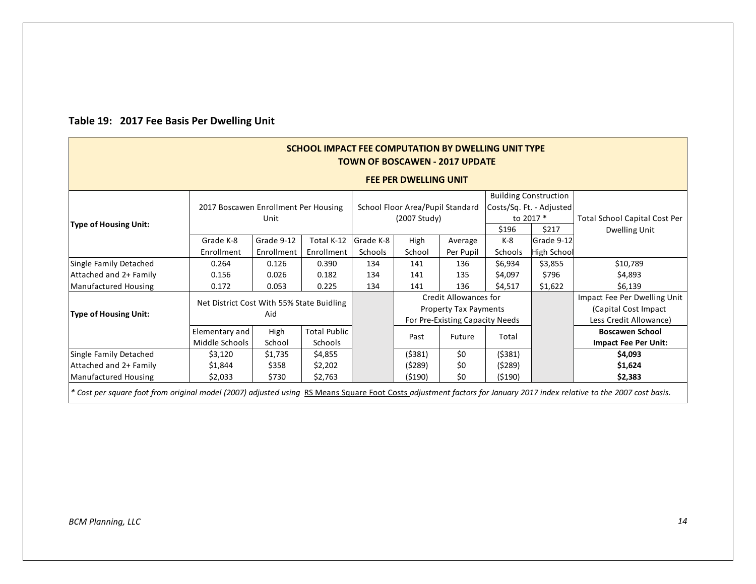| <b>SCHOOL IMPACT FEE COMPUTATION BY DWELLING UNIT TYPE</b><br><b>TOWN OF BOSCAWEN - 2017 UPDATE</b>                                                                    |                                      |                                           |                     |           |                                  |                              |                              |                              |                                      |
|------------------------------------------------------------------------------------------------------------------------------------------------------------------------|--------------------------------------|-------------------------------------------|---------------------|-----------|----------------------------------|------------------------------|------------------------------|------------------------------|--------------------------------------|
| <b>FEE PER DWELLING UNIT</b>                                                                                                                                           |                                      |                                           |                     |           |                                  |                              |                              |                              |                                      |
|                                                                                                                                                                        |                                      |                                           |                     |           |                                  |                              |                              | <b>Building Construction</b> |                                      |
|                                                                                                                                                                        | 2017 Boscawen Enrollment Per Housing |                                           |                     |           | School Floor Area/Pupil Standard |                              |                              | Costs/Sq. Ft. - Adjusted     |                                      |
| Type of Housing Unit:                                                                                                                                                  |                                      | Unit                                      |                     |           | (2007 Study)                     |                              |                              | to 2017 *                    | <b>Total School Capital Cost Per</b> |
|                                                                                                                                                                        |                                      |                                           |                     |           |                                  |                              | \$196                        | \$217                        | Dwelling Unit                        |
|                                                                                                                                                                        | Grade K-8                            | Grade 9-12                                | Total K-12          | Grade K-8 | High                             | Average                      | K-8                          | Grade 9-12                   |                                      |
|                                                                                                                                                                        | Enrollment                           | Enrollment                                | Enrollment          | Schools   | School                           | Per Pupil                    | Schools                      | High School                  |                                      |
| Single Family Detached                                                                                                                                                 | 0.264                                | 0.126                                     | 0.390               | 134       | 141                              | 136                          | \$6,934                      | \$3,855                      | \$10,789                             |
| Attached and 2+ Family                                                                                                                                                 | 0.156                                | 0.026                                     | 0.182               | 134       | 141                              | 135                          | \$4,097                      | \$796                        | \$4,893                              |
| Manufactured Housing                                                                                                                                                   | 0.172                                | 0.053                                     | 0.225               | 134       | 141                              | 136                          | \$4,517                      | \$1,622                      | \$6,139                              |
|                                                                                                                                                                        |                                      | Net District Cost With 55% State Buidling |                     |           |                                  | <b>Credit Allowances for</b> |                              |                              | Impact Fee Per Dwelling Unit         |
| Type of Housing Unit:                                                                                                                                                  |                                      | Aid                                       |                     |           |                                  |                              | <b>Property Tax Payments</b> |                              | (Capital Cost Impact)                |
|                                                                                                                                                                        |                                      |                                           |                     |           | For Pre-Existing Capacity Needs  |                              |                              |                              | Less Credit Allowance)               |
|                                                                                                                                                                        | Elementary and                       | High                                      | <b>Total Public</b> |           | Past                             | Future                       | Total                        |                              | <b>Boscawen School</b>               |
|                                                                                                                                                                        | Middle Schools                       | School                                    | Schools             |           |                                  |                              |                              |                              | <b>Impact Fee Per Unit:</b>          |
| Single Family Detached                                                                                                                                                 | \$3,120                              | \$1,735                                   | \$4,855             |           | (5381)                           | \$0                          | ( \$381)                     |                              | \$4,093                              |
| Attached and 2+ Family                                                                                                                                                 | \$1,844                              | \$358                                     | \$2,202             |           | (5289)                           | \$0                          | (5289)                       |                              | \$1,624                              |
| Manufactured Housing                                                                                                                                                   | \$2,033                              | \$730                                     | \$2,763             |           | (5190)                           | \$0                          | (\$190)                      |                              | \$2,383                              |
| * Cost per square foot from original model (2007) adjusted using RS Means Square Foot Costs adjustment factors for January 2017 index relative to the 2007 cost basis. |                                      |                                           |                     |           |                                  |                              |                              |                              |                                      |

# **Table 19: 2017 Fee Basis Per Dwelling Unit**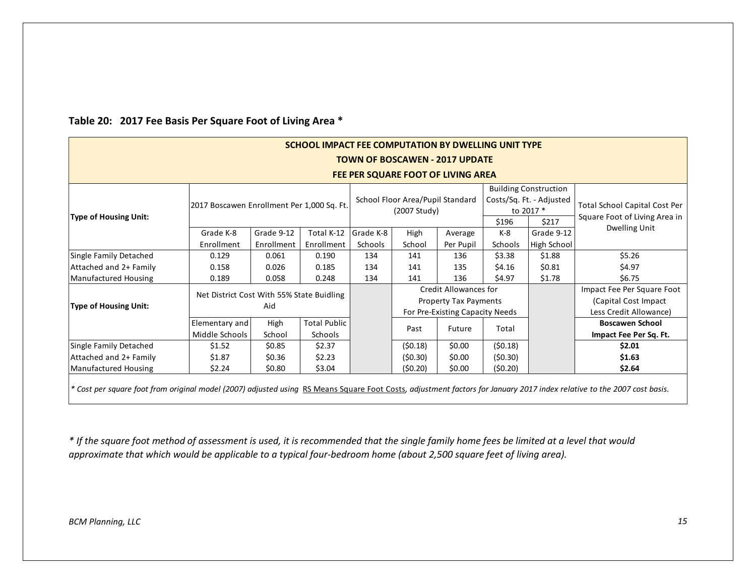| SCHOOL IMPACT FEE COMPUTATION BY DWELLING UNIT TYPE                                                                                                                     |                                    |                                            |                     |           |                                                  |                                                       |         |                                                                       |                                                                |  |
|-------------------------------------------------------------------------------------------------------------------------------------------------------------------------|------------------------------------|--------------------------------------------|---------------------|-----------|--------------------------------------------------|-------------------------------------------------------|---------|-----------------------------------------------------------------------|----------------------------------------------------------------|--|
| <b>TOWN OF BOSCAWEN - 2017 UPDATE</b>                                                                                                                                   |                                    |                                            |                     |           |                                                  |                                                       |         |                                                                       |                                                                |  |
|                                                                                                                                                                         | FEE PER SQUARE FOOT OF LIVING AREA |                                            |                     |           |                                                  |                                                       |         |                                                                       |                                                                |  |
| Type of Housing Unit:                                                                                                                                                   |                                    | 2017 Boscawen Enrollment Per 1,000 Sq. Ft. |                     |           | School Floor Area/Pupil Standard<br>(2007 Study) |                                                       |         | <b>Building Construction</b><br>Costs/Sq. Ft. - Adjusted<br>to 2017 * | Total School Capital Cost Per<br>Square Foot of Living Area in |  |
|                                                                                                                                                                         |                                    |                                            |                     |           |                                                  |                                                       |         | \$217                                                                 | Dwelling Unit                                                  |  |
|                                                                                                                                                                         | Grade K-8                          | Grade 9-12                                 | Total K-12          | Grade K-8 | High                                             | Average                                               | $K-8$   | Grade 9-12                                                            |                                                                |  |
|                                                                                                                                                                         | Enrollment                         | Enrollment                                 | Enrollment          | Schools   | School                                           | Per Pupil                                             | Schools | High School                                                           |                                                                |  |
| Single Family Detached                                                                                                                                                  | 0.129                              | 0.061                                      | 0.190               | 134       | 141                                              | 136                                                   | \$3.38  | \$1.88                                                                | \$5.26                                                         |  |
| Attached and 2+ Family                                                                                                                                                  | 0.158                              | 0.026                                      | 0.185               | 134       | 141                                              | 135                                                   | \$4.16  | \$0.81                                                                | \$4.97                                                         |  |
| Manufactured Housing                                                                                                                                                    | 0.189                              | 0.058                                      | 0.248               | 134       | 141                                              | 136                                                   | \$4.97  | \$1.78                                                                | \$6.75                                                         |  |
|                                                                                                                                                                         |                                    | Net District Cost With 55% State Buidling  |                     |           |                                                  | Credit Allowances for<br><b>Property Tax Payments</b> |         |                                                                       | Impact Fee Per Square Foot<br>(Capital Cost Impact)            |  |
| Type of Housing Unit:                                                                                                                                                   |                                    | Aid                                        |                     |           |                                                  |                                                       |         |                                                                       |                                                                |  |
|                                                                                                                                                                         |                                    |                                            |                     |           |                                                  | For Pre-Existing Capacity Needs                       |         |                                                                       | Less Credit Allowance)                                         |  |
|                                                                                                                                                                         | Elementary and                     | High                                       | <b>Total Public</b> |           | Past                                             | Future                                                | Total   |                                                                       | <b>Boscawen School</b>                                         |  |
|                                                                                                                                                                         | Middle Schools                     | School                                     | Schools             |           |                                                  |                                                       |         |                                                                       | Impact Fee Per Sq. Ft.                                         |  |
| Single Family Detached                                                                                                                                                  | \$1.52                             | \$0.85                                     | \$2.37              |           | (50.18)                                          | \$0.00                                                | (50.18) |                                                                       | \$2.01                                                         |  |
| Attached and 2+ Family                                                                                                                                                  | \$1.87                             | \$0.36                                     | \$2.23              |           | (\$0.30)                                         | \$0.00                                                | (50.30) |                                                                       | \$1.63                                                         |  |
| Manufactured Housing                                                                                                                                                    | \$2.24                             | \$0.80                                     | \$3.04              |           | (\$0.20)                                         | \$0.00                                                | (50.20) |                                                                       | \$2.64                                                         |  |
| * Cost per square foot from original model (2007) adjusted using RS Means Square Foot Costs, adjustment factors for January 2017 index relative to the 2007 cost basis. |                                    |                                            |                     |           |                                                  |                                                       |         |                                                                       |                                                                |  |

### **Table 20: 2017 Fee Basis Per Square Foot of Living Area \***

*\* If the square foot method of assessment is used, it is recommended that the single family home fees be limited at a level that would approximate that which would be applicable to a typical four-bedroom home (about 2,500 square feet of living area).*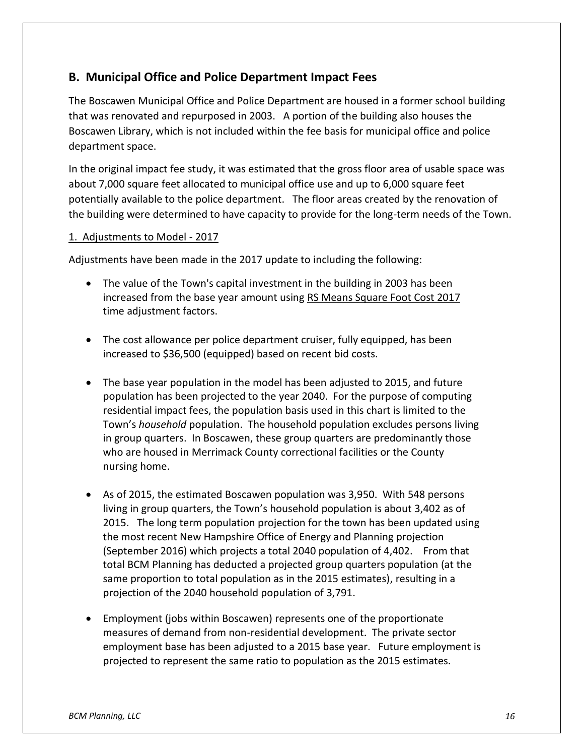# **B. Municipal Office and Police Department Impact Fees**

The Boscawen Municipal Office and Police Department are housed in a former school building that was renovated and repurposed in 2003. A portion of the building also houses the Boscawen Library, which is not included within the fee basis for municipal office and police department space.

In the original impact fee study, it was estimated that the gross floor area of usable space was about 7,000 square feet allocated to municipal office use and up to 6,000 square feet potentially available to the police department. The floor areas created by the renovation of the building were determined to have capacity to provide for the long-term needs of the Town.

#### 1. Adjustments to Model - 2017

Adjustments have been made in the 2017 update to including the following:

- The value of the Town's capital investment in the building in 2003 has been increased from the base year amount using RS Means Square Foot Cost 2017 time adjustment factors.
- The cost allowance per police department cruiser, fully equipped, has been increased to \$36,500 (equipped) based on recent bid costs.
- The base year population in the model has been adjusted to 2015, and future population has been projected to the year 2040. For the purpose of computing residential impact fees, the population basis used in this chart is limited to the Town's *household* population. The household population excludes persons living in group quarters. In Boscawen, these group quarters are predominantly those who are housed in Merrimack County correctional facilities or the County nursing home.
- As of 2015, the estimated Boscawen population was 3,950. With 548 persons living in group quarters, the Town's household population is about 3,402 as of 2015. The long term population projection for the town has been updated using the most recent New Hampshire Office of Energy and Planning projection (September 2016) which projects a total 2040 population of 4,402. From that total BCM Planning has deducted a projected group quarters population (at the same proportion to total population as in the 2015 estimates), resulting in a projection of the 2040 household population of 3,791.
- Employment (jobs within Boscawen) represents one of the proportionate measures of demand from non-residential development. The private sector employment base has been adjusted to a 2015 base year. Future employment is projected to represent the same ratio to population as the 2015 estimates.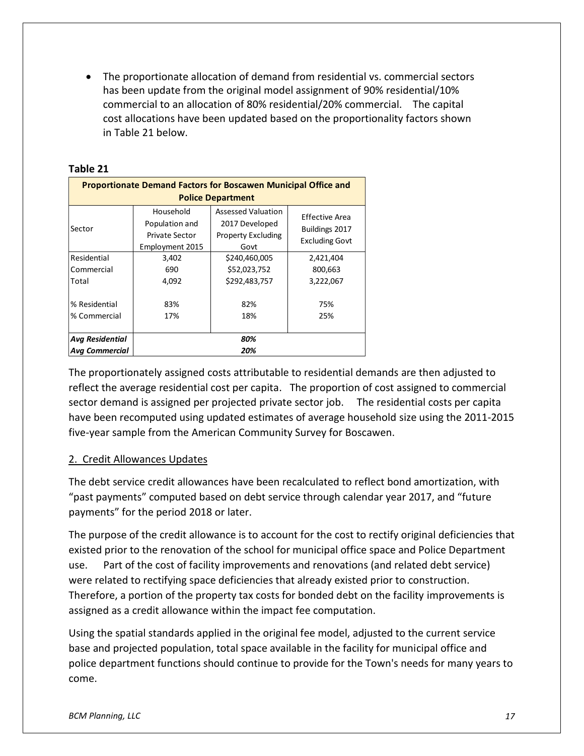The proportionate allocation of demand from residential vs. commercial sectors has been update from the original model assignment of 90% residential/10% commercial to an allocation of 80% residential/20% commercial. The capital cost allocations have been updated based on the proportionality factors shown in Table 21 below.

| <b>Proportionate Demand Factors for Boscawen Municipal Office and</b><br><b>Police Department</b> |                                                                         |                                                                                  |                                                           |  |  |  |  |  |  |
|---------------------------------------------------------------------------------------------------|-------------------------------------------------------------------------|----------------------------------------------------------------------------------|-----------------------------------------------------------|--|--|--|--|--|--|
| Sector                                                                                            | Household<br>Population and<br><b>Private Sector</b><br>Employment 2015 | <b>Assessed Valuation</b><br>2017 Developed<br><b>Property Excluding</b><br>Govt | Effective Area<br>Buildings 2017<br><b>Excluding Govt</b> |  |  |  |  |  |  |
| Residential<br>Commercial<br>Total                                                                | 3,402<br>690<br>4,092                                                   | \$240,460,005<br>\$52,023,752<br>\$292,483,757<br>82%                            | 2,421,404<br>800,663<br>3,222,067                         |  |  |  |  |  |  |
| % Residential<br>% Commercial                                                                     | 83%<br>17%                                                              | 75%<br>25%                                                                       |                                                           |  |  |  |  |  |  |
| <b>Avg Residential</b><br><b>Avg Commercial</b>                                                   | 80%<br>20%                                                              |                                                                                  |                                                           |  |  |  |  |  |  |

#### **Table 21**

The proportionately assigned costs attributable to residential demands are then adjusted to reflect the average residential cost per capita. The proportion of cost assigned to commercial sector demand is assigned per projected private sector job. The residential costs per capita have been recomputed using updated estimates of average household size using the 2011-2015 five-year sample from the American Community Survey for Boscawen.

### 2. Credit Allowances Updates

The debt service credit allowances have been recalculated to reflect bond amortization, with "past payments" computed based on debt service through calendar year 2017, and "future payments" for the period 2018 or later.

The purpose of the credit allowance is to account for the cost to rectify original deficiencies that existed prior to the renovation of the school for municipal office space and Police Department use. Part of the cost of facility improvements and renovations (and related debt service) were related to rectifying space deficiencies that already existed prior to construction. Therefore, a portion of the property tax costs for bonded debt on the facility improvements is assigned as a credit allowance within the impact fee computation.

Using the spatial standards applied in the original fee model, adjusted to the current service base and projected population, total space available in the facility for municipal office and police department functions should continue to provide for the Town's needs for many years to come.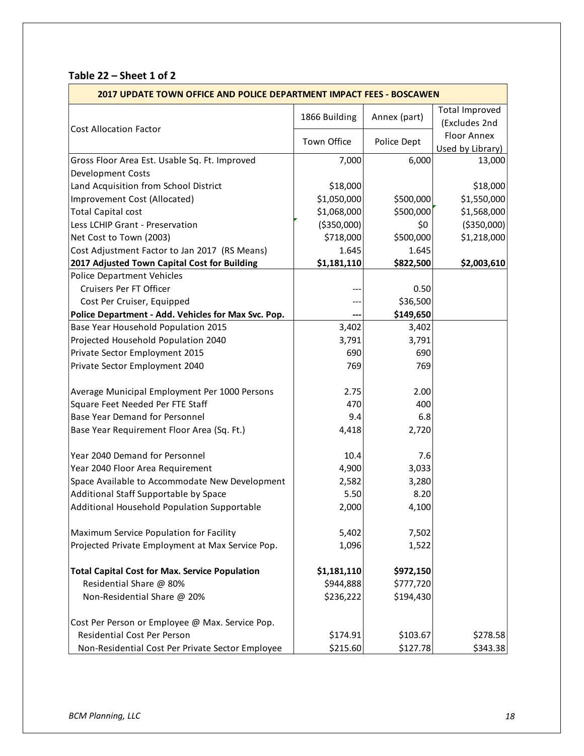# **Table 22 – Sheet 1 of 2**

|                                                       | 2017 UPDATE TOWN OFFICE AND POLICE DEPARTMENT IMPACT FEES - BOSCAWEN |              |                                        |  |  |
|-------------------------------------------------------|----------------------------------------------------------------------|--------------|----------------------------------------|--|--|
|                                                       | 1866 Building                                                        | Annex (part) | <b>Total Improved</b><br>(Excludes 2nd |  |  |
| <b>Cost Allocation Factor</b>                         | Town Office                                                          | Police Dept  | Floor Annex<br>Used by Library)        |  |  |
| Gross Floor Area Est. Usable Sq. Ft. Improved         | 7,000                                                                | 6,000        | 13,000                                 |  |  |
| Development Costs                                     |                                                                      |              |                                        |  |  |
| Land Acquisition from School District                 | \$18,000                                                             |              | \$18,000                               |  |  |
| Improvement Cost (Allocated)                          | \$1,050,000                                                          | \$500,000    | \$1,550,000                            |  |  |
| <b>Total Capital cost</b>                             | \$1,068,000                                                          | \$500,000    | \$1,568,000                            |  |  |
| Less LCHIP Grant - Preservation                       | ( \$350,000)                                                         | \$0          | ( \$350,000)                           |  |  |
| Net Cost to Town (2003)                               | \$718,000                                                            | \$500,000    | \$1,218,000                            |  |  |
| Cost Adjustment Factor to Jan 2017 (RS Means)         | 1.645                                                                | 1.645        |                                        |  |  |
| 2017 Adjusted Town Capital Cost for Building          | \$1,181,110                                                          | \$822,500    | \$2,003,610                            |  |  |
| <b>Police Department Vehicles</b>                     |                                                                      |              |                                        |  |  |
| Cruisers Per FT Officer                               |                                                                      | 0.50         |                                        |  |  |
| Cost Per Cruiser, Equipped                            |                                                                      | \$36,500     |                                        |  |  |
| Police Department - Add. Vehicles for Max Svc. Pop.   |                                                                      | \$149,650    |                                        |  |  |
| Base Year Household Population 2015                   | 3,402                                                                | 3,402        |                                        |  |  |
| Projected Household Population 2040                   | 3,791                                                                | 3,791        |                                        |  |  |
| Private Sector Employment 2015                        | 690                                                                  | 690          |                                        |  |  |
| Private Sector Employment 2040                        | 769                                                                  | 769          |                                        |  |  |
| Average Municipal Employment Per 1000 Persons         | 2.75                                                                 | 2.00         |                                        |  |  |
| Square Feet Needed Per FTE Staff                      | 470                                                                  | 400          |                                        |  |  |
| Base Year Demand for Personnel                        | 9.4                                                                  | 6.8          |                                        |  |  |
| Base Year Requirement Floor Area (Sq. Ft.)            | 4,418                                                                | 2,720        |                                        |  |  |
| Year 2040 Demand for Personnel                        | 10.4                                                                 | 7.6          |                                        |  |  |
| Year 2040 Floor Area Requirement                      | 4,900                                                                | 3,033        |                                        |  |  |
| Space Available to Accommodate New Development        | 2,582                                                                | 3,280        |                                        |  |  |
| Additional Staff Supportable by Space                 | 5.50                                                                 | 8.20         |                                        |  |  |
| Additional Household Population Supportable           | 2,000                                                                | 4,100        |                                        |  |  |
| Maximum Service Population for Facility               | 5,402                                                                | 7,502        |                                        |  |  |
| Projected Private Employment at Max Service Pop.      | 1,096                                                                | 1,522        |                                        |  |  |
| <b>Total Capital Cost for Max. Service Population</b> | \$1,181,110                                                          | \$972,150    |                                        |  |  |
| Residential Share @ 80%                               | \$944,888                                                            | \$777,720    |                                        |  |  |
| Non-Residential Share @ 20%                           | \$236,222                                                            | \$194,430    |                                        |  |  |
| Cost Per Person or Employee @ Max. Service Pop.       |                                                                      |              |                                        |  |  |
| Residential Cost Per Person                           | \$174.91                                                             | \$103.67     | \$278.58                               |  |  |
| Non-Residential Cost Per Private Sector Employee      | \$215.60                                                             | \$127.78     | \$343.38                               |  |  |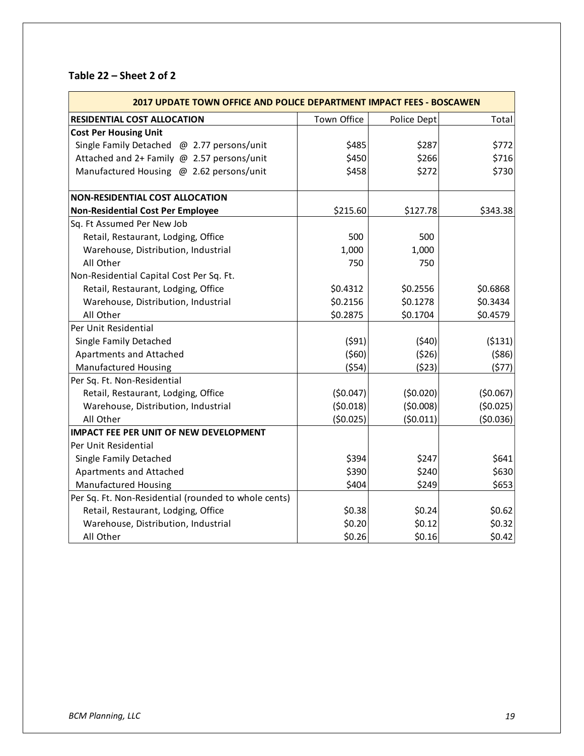# **Table 22 – Sheet 2 of 2**

| <b>2017 UPDATE TOWN OFFICE AND POLICE DEPARTMENT IMPACT FEES - BOSCAWEN</b> |             |             |          |
|-----------------------------------------------------------------------------|-------------|-------------|----------|
| <b>RESIDENTIAL COST ALLOCATION</b>                                          | Town Office | Police Dept | Total    |
| <b>Cost Per Housing Unit</b>                                                |             |             |          |
| Single Family Detached @ 2.77 persons/unit                                  | \$485       | \$287       | \$772    |
| Attached and 2+ Family @ 2.57 persons/unit                                  | \$450       | \$266       | \$716    |
| Manufactured Housing @ 2.62 persons/unit                                    | \$458       | \$272       | \$730    |
| <b>NON-RESIDENTIAL COST ALLOCATION</b>                                      |             |             |          |
| <b>Non-Residential Cost Per Employee</b>                                    | \$215.60    | \$127.78    | \$343.38 |
| Sq. Ft Assumed Per New Job                                                  |             |             |          |
| Retail, Restaurant, Lodging, Office                                         | 500         | 500         |          |
| Warehouse, Distribution, Industrial                                         | 1,000       | 1,000       |          |
| All Other                                                                   | 750         | 750         |          |
| Non-Residential Capital Cost Per Sq. Ft.                                    |             |             |          |
| Retail, Restaurant, Lodging, Office                                         | \$0.4312    | \$0.2556    | \$0.6868 |
| Warehouse, Distribution, Industrial                                         | \$0.2156    | \$0.1278    | \$0.3434 |
| All Other                                                                   | \$0.2875    | \$0.1704    | \$0.4579 |
| Per Unit Residential                                                        |             |             |          |
| Single Family Detached                                                      | (591)       | (540)       | (5131)   |
| <b>Apartments and Attached</b>                                              | (560)       | (526)       | (586)    |
| <b>Manufactured Housing</b>                                                 | (554)       | (523)       | (577)    |
| Per Sq. Ft. Non-Residential                                                 |             |             |          |
| Retail, Restaurant, Lodging, Office                                         | (50.047)    | (50.020)    | (50.067) |
| Warehouse, Distribution, Industrial                                         | (50.018)    | (50.008)    | (50.025) |
| All Other                                                                   | (50.025)    | (50.011)    | (50.036) |
| <b>IMPACT FEE PER UNIT OF NEW DEVELOPMENT</b>                               |             |             |          |
| Per Unit Residential                                                        |             |             |          |
| Single Family Detached                                                      | \$394       | \$247       | \$641    |
| Apartments and Attached                                                     | \$390       | \$240       | \$630    |
| Manufactured Housing                                                        | \$404       | \$249       | \$653    |
| Per Sq. Ft. Non-Residential (rounded to whole cents)                        |             |             |          |
| Retail, Restaurant, Lodging, Office                                         | \$0.38      | \$0.24      | \$0.62   |
| Warehouse, Distribution, Industrial                                         | \$0.20      | \$0.12      | \$0.32   |
| All Other                                                                   | \$0.26      | \$0.16      | \$0.42   |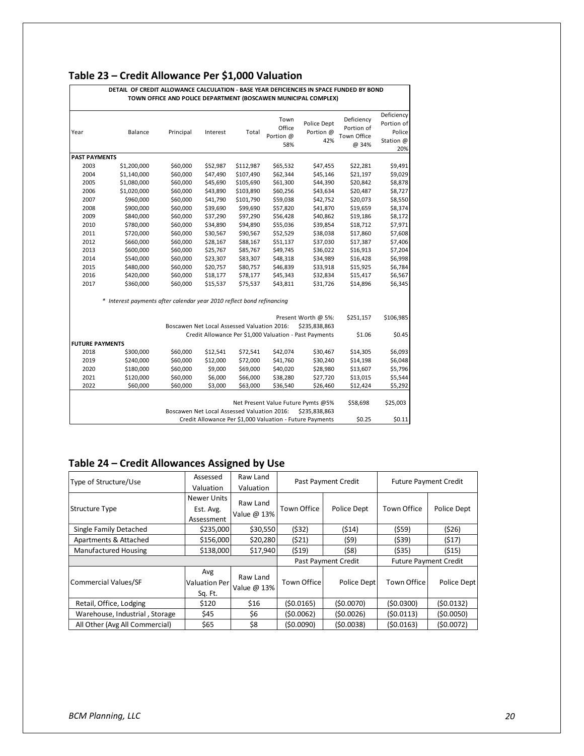# **Table 23 – Credit Allowance Per \$1,000 Valuation**

| DETAIL OF CREDIT ALLOWANCE CALCULATION - BASE YEAR DEFICIENCIES IN SPACE FUNDED BY BOND<br>TOWN OFFICE AND POLICE DEPARTMENT (BOSCAWEN MUNICIPAL COMPLEX) |                                                                                                                |                                             |          |           |                                    |                                                        |                                                  |                                                        |
|-----------------------------------------------------------------------------------------------------------------------------------------------------------|----------------------------------------------------------------------------------------------------------------|---------------------------------------------|----------|-----------|------------------------------------|--------------------------------------------------------|--------------------------------------------------|--------------------------------------------------------|
| Year                                                                                                                                                      | Balance                                                                                                        | Principal                                   | Interest | Total     | Town<br>Office<br>Portion @<br>58% | Police Dept<br>Portion @<br>42%                        | Deficiency<br>Portion of<br>Town Office<br>@ 34% | Deficiency<br>Portion of<br>Police<br>Station @<br>20% |
| <b>PAST PAYMENTS</b>                                                                                                                                      |                                                                                                                |                                             |          |           |                                    |                                                        |                                                  |                                                        |
| 2003                                                                                                                                                      | \$1,200,000                                                                                                    | \$60,000                                    | \$52,987 | \$112,987 | \$65,532                           | \$47,455                                               | \$22,281                                         | \$9,491                                                |
| 2004                                                                                                                                                      | \$1,140,000                                                                                                    | \$60,000                                    | \$47,490 | \$107,490 | \$62,344                           | \$45,146                                               | \$21,197                                         | \$9,029                                                |
| 2005                                                                                                                                                      | \$1,080,000                                                                                                    | \$60,000                                    | \$45,690 | \$105,690 | \$61,300                           | \$44,390                                               | \$20,842                                         | \$8,878                                                |
| 2006                                                                                                                                                      | \$1,020,000                                                                                                    | \$60,000                                    | \$43,890 | \$103,890 | \$60,256                           | \$43,634                                               | \$20,487                                         | \$8,727                                                |
| 2007                                                                                                                                                      | \$960,000                                                                                                      | \$60,000                                    | \$41,790 | \$101,790 | \$59,038                           | \$42,752                                               | \$20,073                                         | \$8,550                                                |
| 2008                                                                                                                                                      | \$900,000                                                                                                      | \$60,000                                    | \$39,690 | \$99,690  | \$57,820                           | \$41,870                                               | \$19,659                                         | \$8,374                                                |
| 2009                                                                                                                                                      | \$840,000                                                                                                      | \$60,000                                    | \$37,290 | \$97,290  | \$56,428                           | \$40,862                                               | \$19,186                                         | \$8,172                                                |
| 2010                                                                                                                                                      | \$780,000                                                                                                      | \$60,000                                    | \$34,890 | \$94,890  | \$55,036                           | \$39,854                                               | \$18,712                                         | \$7,971                                                |
| 2011                                                                                                                                                      | \$720,000                                                                                                      | \$60,000                                    | \$30,567 | \$90,567  | \$52,529                           | \$38,038                                               | \$17,860                                         | \$7,608                                                |
| 2012                                                                                                                                                      | \$660,000                                                                                                      | \$60,000                                    | \$28,167 | \$88,167  | \$51,137                           | \$37,030                                               | \$17,387                                         | \$7,406                                                |
| 2013                                                                                                                                                      | \$600,000                                                                                                      | \$60,000                                    | \$25,767 | \$85,767  | \$49,745                           | \$36,022                                               | \$16,913                                         | \$7,204                                                |
| 2014                                                                                                                                                      | \$540,000                                                                                                      | \$60,000                                    | \$23,307 | \$83,307  | \$48,318                           | \$34,989                                               | \$16,428                                         | \$6,998                                                |
| 2015                                                                                                                                                      | \$480,000                                                                                                      | \$60,000                                    | \$20,757 | \$80,757  | \$46,839                           | \$33,918                                               | \$15,925                                         | \$6,784                                                |
| 2016                                                                                                                                                      | \$420,000                                                                                                      | \$60,000                                    | \$18,177 | \$78,177  | \$45,343                           | \$32,834                                               | \$15,417                                         | \$6,567                                                |
| 2017                                                                                                                                                      | \$360,000                                                                                                      | \$60,000                                    | \$15,537 | \$75,537  | \$43,811                           | \$31,726                                               | \$14,896                                         | \$6,345                                                |
|                                                                                                                                                           | * Interest payments after calendar year 2010 reflect bond refinancing                                          |                                             |          |           |                                    |                                                        |                                                  |                                                        |
|                                                                                                                                                           |                                                                                                                | Boscawen Net Local Assessed Valuation 2016: |          |           |                                    | Present Worth @ 5%:<br>\$235,838,863                   | \$251,157                                        | \$106,985                                              |
|                                                                                                                                                           |                                                                                                                |                                             |          |           |                                    | Credit Allowance Per \$1,000 Valuation - Past Payments | \$1.06                                           | \$0.45                                                 |
| <b>FUTURE PAYMENTS</b>                                                                                                                                    |                                                                                                                |                                             |          |           |                                    |                                                        |                                                  |                                                        |
| 2018                                                                                                                                                      | \$300,000                                                                                                      | \$60,000                                    | \$12,541 | \$72,541  | \$42,074                           | \$30,467                                               | \$14,305                                         | \$6,093                                                |
| 2019                                                                                                                                                      | \$240,000                                                                                                      | \$60,000                                    | \$12,000 | \$72,000  | \$41,760                           | \$30,240                                               | \$14,198                                         | \$6,048                                                |
| 2020                                                                                                                                                      | \$180,000                                                                                                      | \$60,000                                    | \$9,000  | \$69,000  | \$40,020                           | \$28,980                                               | \$13,607                                         | \$5,796                                                |
| 2021                                                                                                                                                      | \$120,000                                                                                                      | \$60,000                                    | \$6,000  | \$66,000  | \$38,280                           | \$27,720                                               | \$13,015                                         | \$5,544                                                |
| 2022                                                                                                                                                      | \$60,000                                                                                                       | \$60,000                                    | \$3,000  | \$63,000  | \$36,540                           | \$26,460                                               | \$12,424                                         | \$5,292                                                |
|                                                                                                                                                           |                                                                                                                |                                             |          |           |                                    |                                                        |                                                  |                                                        |
|                                                                                                                                                           | Net Present Value Future Pymts @5%<br>\$58,698<br>Boscawen Net Local Assessed Valuation 2016:<br>\$235,838,863 |                                             |          |           |                                    | \$25,003                                               |                                                  |                                                        |
|                                                                                                                                                           | Credit Allowance Per \$1,000 Valuation - Future Payments<br>\$0.25<br>\$0.11                                   |                                             |          |           |                                    |                                                        |                                                  |                                                        |

### **Table 24 – Credit Allowances Assigned by Use**

| Type of Structure/Use          | Assessed                                | Raw Land                | Past Payment Credit        |             |                              | <b>Future Payment Credit</b> |  |
|--------------------------------|-----------------------------------------|-------------------------|----------------------------|-------------|------------------------------|------------------------------|--|
|                                | Valuation                               | Valuation               |                            |             |                              |                              |  |
| <b>Structure Type</b>          | Newer Units<br>Est. Avg.<br>Assessment  | Raw Land<br>Value @ 13% | <b>Town Office</b>         | Police Dept | <b>Town Office</b>           | Police Dept                  |  |
| Single Family Detached         | \$235,000                               | \$30,550                | (532)                      | (514)       | (559)                        | (526)                        |  |
| Apartments & Attached          | \$156,000                               | \$20,280                | (521)                      | (\$9)       | (539)                        | (517)                        |  |
| <b>Manufactured Housing</b>    | \$138,000                               | \$17,940                | (519)                      | (58)        | (535)                        | (515)                        |  |
|                                |                                         |                         | <b>Past Payment Credit</b> |             | <b>Future Payment Credit</b> |                              |  |
| Commercial Values/SF           | Avg<br><b>Valuation Perl</b><br>Sq. Ft. | Raw Land<br>Value @ 13% | Town Office                | Police Dept | <b>Town Office</b>           | Police Dept                  |  |
| Retail, Office, Lodging        | \$120                                   | \$16                    | (50.0165)                  | (50.0070)   | (50.0300)                    | (\$0.0132)                   |  |
| Warehouse, Industrial, Storage | \$45                                    | \$6                     | (50.0062)                  | (50.0026)   | (50.0113)                    | (\$0.0050)                   |  |
| All Other (Avg All Commercial) | \$65                                    | \$8                     | (50.0090)                  | (50.0038)   | (50.0163)                    | (50.0072)                    |  |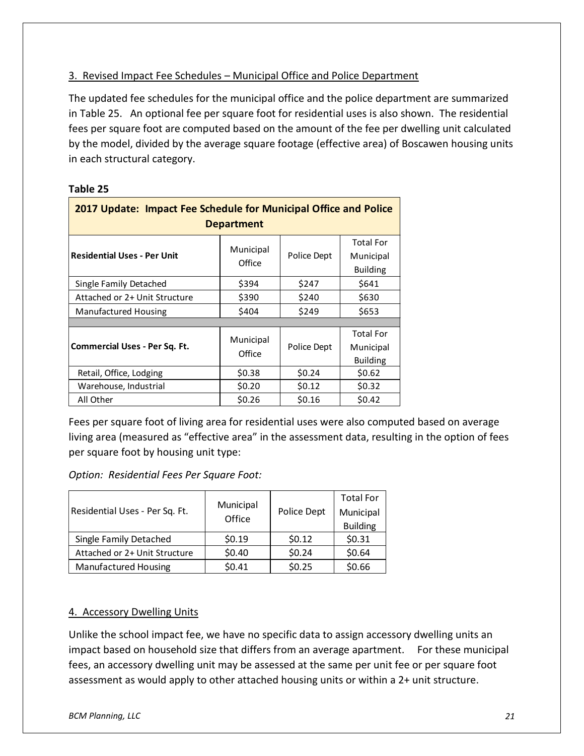### 3. Revised Impact Fee Schedules – Municipal Office and Police Department

The updated fee schedules for the municipal office and the police department are summarized in Table 25. An optional fee per square foot for residential uses is also shown. The residential fees per square foot are computed based on the amount of the fee per dwelling unit calculated by the model, divided by the average square footage (effective area) of Boscawen housing units in each structural category.

### **Table 25**

| 2017 Update: Impact Fee Schedule for Municipal Office and Police<br><b>Department</b> |                     |             |                                                  |  |  |
|---------------------------------------------------------------------------------------|---------------------|-------------|--------------------------------------------------|--|--|
| <b>Residential Uses - Per Unit</b>                                                    | Municipal<br>Office | Police Dept | <b>Total For</b><br>Municipal<br><b>Building</b> |  |  |
| Single Family Detached                                                                | \$394               | \$247       | \$641                                            |  |  |
| Attached or 2+ Unit Structure                                                         | \$390               | \$240       | \$630                                            |  |  |
| <b>Manufactured Housing</b>                                                           | \$404               | \$249       | \$653                                            |  |  |
|                                                                                       |                     |             |                                                  |  |  |
| <b>Commercial Uses - Per Sq. Ft.</b>                                                  | Municipal<br>Office | Police Dept | <b>Total For</b><br>Municipal<br><b>Building</b> |  |  |
| Retail, Office, Lodging                                                               | \$0.38              | \$0.24      | \$0.62                                           |  |  |
| Warehouse, Industrial                                                                 | \$0.20              | \$0.12      | \$0.32                                           |  |  |
| All Other                                                                             | \$0.26              | \$0.16      | \$0.42                                           |  |  |

Fees per square foot of living area for residential uses were also computed based on average living area (measured as "effective area" in the assessment data, resulting in the option of fees per square foot by housing unit type:

*Option: Residential Fees Per Square Foot:*

|                                | Municipal |             | <b>Total For</b> |
|--------------------------------|-----------|-------------|------------------|
| Residential Uses - Per Sq. Ft. | Office    | Police Dept | Municipal        |
|                                |           |             | <b>Building</b>  |
| Single Family Detached         | \$0.19    | \$0.12      | \$0.31           |
| Attached or 2+ Unit Structure  | \$0.40    | \$0.24      | \$0.64           |
| <b>Manufactured Housing</b>    | \$0.41    | \$0.25      | \$0.66           |

### 4. Accessory Dwelling Units

Unlike the school impact fee, we have no specific data to assign accessory dwelling units an impact based on household size that differs from an average apartment. For these municipal fees, an accessory dwelling unit may be assessed at the same per unit fee or per square foot assessment as would apply to other attached housing units or within a 2+ unit structure.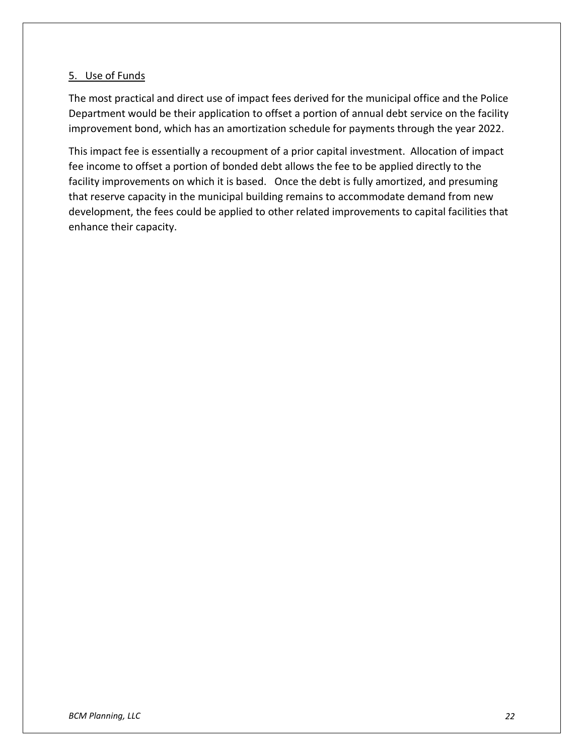### 5. Use of Funds

The most practical and direct use of impact fees derived for the municipal office and the Police Department would be their application to offset a portion of annual debt service on the facility improvement bond, which has an amortization schedule for payments through the year 2022.

This impact fee is essentially a recoupment of a prior capital investment. Allocation of impact fee income to offset a portion of bonded debt allows the fee to be applied directly to the facility improvements on which it is based. Once the debt is fully amortized, and presuming that reserve capacity in the municipal building remains to accommodate demand from new development, the fees could be applied to other related improvements to capital facilities that enhance their capacity.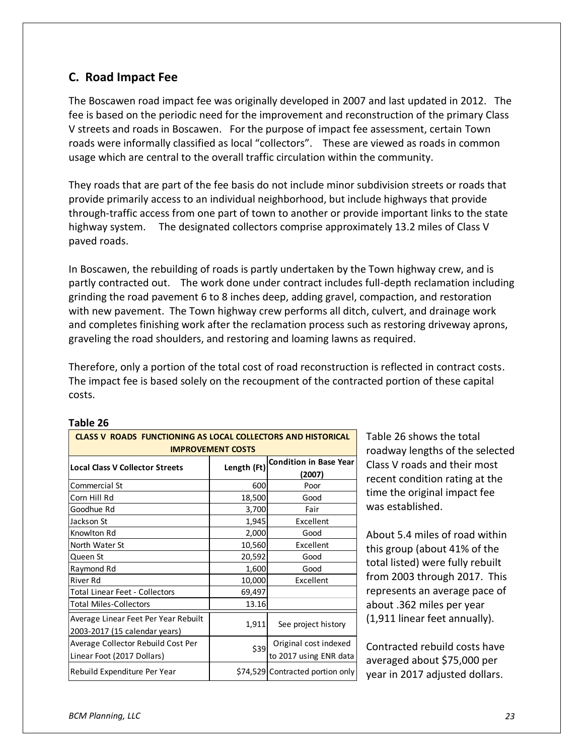# **C. Road Impact Fee**

The Boscawen road impact fee was originally developed in 2007 and last updated in 2012. The fee is based on the periodic need for the improvement and reconstruction of the primary Class V streets and roads in Boscawen. For the purpose of impact fee assessment, certain Town roads were informally classified as local "collectors". These are viewed as roads in common usage which are central to the overall traffic circulation within the community.

They roads that are part of the fee basis do not include minor subdivision streets or roads that provide primarily access to an individual neighborhood, but include highways that provide through-traffic access from one part of town to another or provide important links to the state highway system. The designated collectors comprise approximately 13.2 miles of Class V paved roads.

In Boscawen, the rebuilding of roads is partly undertaken by the Town highway crew, and is partly contracted out. The work done under contract includes full-depth reclamation including grinding the road pavement 6 to 8 inches deep, adding gravel, compaction, and restoration with new pavement. The Town highway crew performs all ditch, culvert, and drainage work and completes finishing work after the reclamation process such as restoring driveway aprons, graveling the road shoulders, and restoring and loaming lawns as required.

Therefore, only a portion of the total cost of road reconstruction is reflected in contract costs. The impact fee is based solely on the recoupment of the contracted portion of these capital costs.

| <b>CLASS V ROADS FUNCTIONING AS LOCAL COLLECTORS AND HISTORICAL</b><br><b>IMPROVEMENT COSTS</b> |             |                                         |  |  |
|-------------------------------------------------------------------------------------------------|-------------|-----------------------------------------|--|--|
| <b>Local Class V Collector Streets</b>                                                          | Length (Ft) | <b>Condition in Base Year</b><br>(2007) |  |  |
| Commercial St                                                                                   | 600         | Poor                                    |  |  |
| Corn Hill Rd                                                                                    | 18,500      | Good                                    |  |  |
| Goodhue Rd                                                                                      | 3,700       | Fair                                    |  |  |
| Jackson St                                                                                      | 1,945       | Excellent                               |  |  |
| Knowlton Rd                                                                                     | 2,000       | Good                                    |  |  |
| North Water St                                                                                  | 10,560      | Excellent                               |  |  |
| Queen St                                                                                        | 20,592      | Good                                    |  |  |
| Raymond Rd                                                                                      | 1,600       | Good                                    |  |  |
| River Rd                                                                                        | 10,000      | Excellent                               |  |  |
| Total Linear Feet - Collectors                                                                  | 69,497      |                                         |  |  |
| <b>Total Miles-Collectors</b>                                                                   | 13.16       |                                         |  |  |
| Average Linear Feet Per Year Rebuilt<br>2003-2017 (15 calendar years)                           | 1,911       | See project history                     |  |  |
| Average Collector Rebuild Cost Per                                                              | \$39        | Original cost indexed                   |  |  |
| Linear Foot (2017 Dollars)                                                                      |             | to 2017 using ENR data                  |  |  |
| Rebuild Expenditure Per Year                                                                    |             | \$74,529 Contracted portion only        |  |  |

**Table 26**

Table 26 shows the total roadway lengths of the selected Class V roads and their most recent condition rating at the time the original impact fee was established.

About 5.4 miles of road within this group (about 41% of the total listed) were fully rebuilt from 2003 through 2017. This represents an average pace of about .362 miles per year (1,911 linear feet annually).

Contracted rebuild costs have averaged about \$75,000 per year in 2017 adjusted dollars.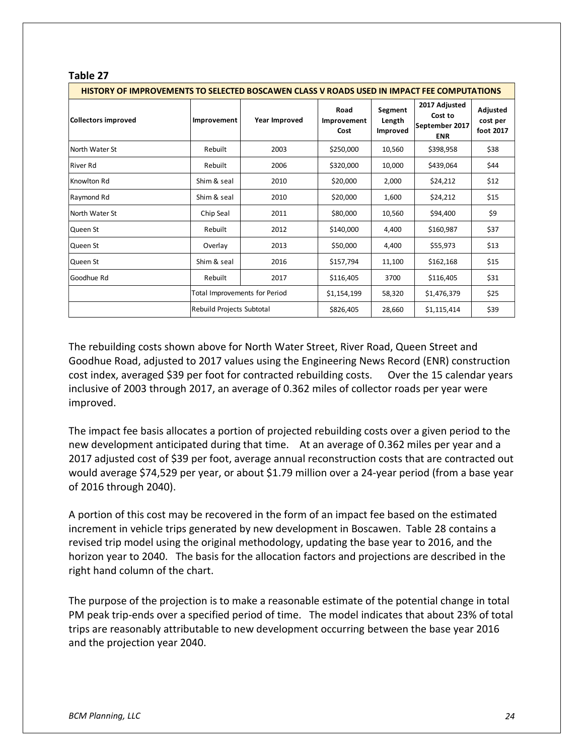| . uwij 67                                                                                         |                                                            |               |                             |                               |                                                          |                                   |
|---------------------------------------------------------------------------------------------------|------------------------------------------------------------|---------------|-----------------------------|-------------------------------|----------------------------------------------------------|-----------------------------------|
| <u>HISTORY OF IMPROVEMENTS TO SELECTED BOSCAWEN CLASS V ROADS USED IN IMPACT FEE COMPUTATIONS</u> |                                                            |               |                             |                               |                                                          |                                   |
| <b>Collectors improved</b>                                                                        | Improvement                                                | Year Improved | Road<br>Improvement<br>Cost | Segment<br>Length<br>Improved | 2017 Adjusted<br>Cost to<br>September 2017<br><b>ENR</b> | Adjusted<br>cost per<br>foot 2017 |
| North Water St                                                                                    | Rebuilt                                                    | 2003          | \$250,000                   | 10,560                        | \$398,958                                                | \$38                              |
| <b>River Rd</b>                                                                                   | Rebuilt                                                    | 2006          | \$320,000                   | 10,000                        | \$439,064                                                | \$44                              |
| Knowlton Rd                                                                                       | Shim & seal                                                | 2010          | \$20,000                    | 2,000                         | \$24,212                                                 | \$12                              |
| Raymond Rd                                                                                        | Shim & seal                                                | 2010          | \$20,000                    | 1,600                         | \$24,212                                                 | \$15                              |
| North Water St                                                                                    | Chip Seal                                                  | 2011          | \$80,000                    | 10.560                        | \$94,400                                                 | \$9                               |
| Queen St                                                                                          | Rebuilt                                                    | 2012          | \$140,000                   | 4,400                         | \$160,987                                                | \$37                              |
| Queen St                                                                                          | Overlay                                                    | 2013          | \$50,000                    | 4.400                         | \$55,973                                                 | \$13                              |
| Queen St                                                                                          | Shim & seal                                                | 2016          | \$157,794                   | 11,100                        | \$162,168                                                | \$15                              |
| Goodhue Rd                                                                                        | Rebuilt                                                    | 2017          | \$116,405                   | 3700                          | \$116,405                                                | \$31                              |
|                                                                                                   | Total Improvements for Period<br>Rebuild Projects Subtotal |               | \$1,154,199                 | 58,320                        | \$1,476,379                                              | \$25                              |
|                                                                                                   |                                                            |               | \$826,405                   | 28,660                        | \$1,115,414                                              | \$39                              |

The rebuilding costs shown above for North Water Street, River Road, Queen Street and Goodhue Road, adjusted to 2017 values using the Engineering News Record (ENR) construction cost index, averaged \$39 per foot for contracted rebuilding costs. Over the 15 calendar years inclusive of 2003 through 2017, an average of 0.362 miles of collector roads per year were improved.

The impact fee basis allocates a portion of projected rebuilding costs over a given period to the new development anticipated during that time. At an average of 0.362 miles per year and a 2017 adjusted cost of \$39 per foot, average annual reconstruction costs that are contracted out would average \$74,529 per year, or about \$1.79 million over a 24-year period (from a base year of 2016 through 2040).

A portion of this cost may be recovered in the form of an impact fee based on the estimated increment in vehicle trips generated by new development in Boscawen. Table 28 contains a revised trip model using the original methodology, updating the base year to 2016, and the horizon year to 2040. The basis for the allocation factors and projections are described in the right hand column of the chart.

The purpose of the projection is to make a reasonable estimate of the potential change in total PM peak trip-ends over a specified period of time. The model indicates that about 23% of total trips are reasonably attributable to new development occurring between the base year 2016 and the projection year 2040.

**Table 27**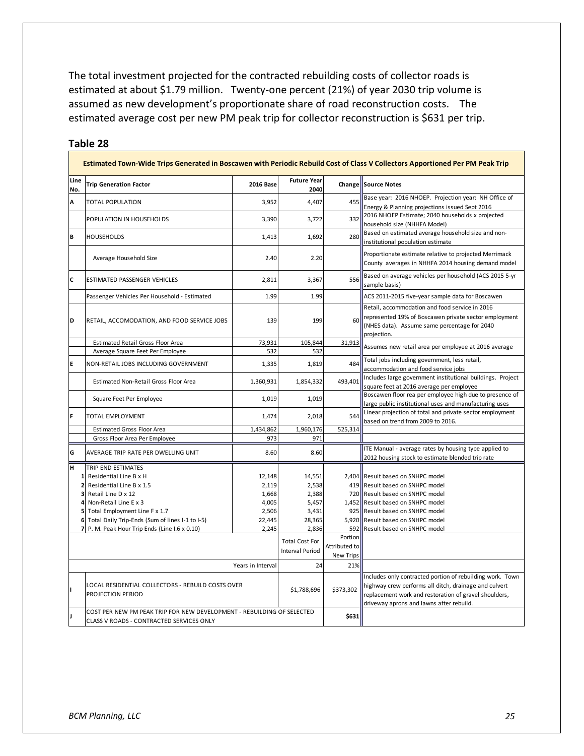The total investment projected for the contracted rebuilding costs of collector roads is estimated at about \$1.79 million. Twenty-one percent (21%) of year 2030 trip volume is assumed as new development's proportionate share of road reconstruction costs. The estimated average cost per new PM peak trip for collector reconstruction is \$631 per trip.

|                | Estimated Town-Wide Trips Generated in Boscawen with Periodic Rebuild Cost of Class V Collectors Apportioned Per PM Peak Trip |                  |                                                 |               |                                                                                                                                                                                                                         |  |
|----------------|-------------------------------------------------------------------------------------------------------------------------------|------------------|-------------------------------------------------|---------------|-------------------------------------------------------------------------------------------------------------------------------------------------------------------------------------------------------------------------|--|
| Line<br>No.    | <b>Trip Generation Factor</b>                                                                                                 | <b>2016 Base</b> | <b>Future Year</b><br>2040                      | Change        | <b>Source Notes</b>                                                                                                                                                                                                     |  |
| A              | <b>TOTAL POPULATION</b>                                                                                                       | 3,952            | 4,407                                           | 455           | Base year: 2016 NHOEP. Projection year: NH Office of<br>Energy & Planning projections issued Sept 2016                                                                                                                  |  |
|                | POPULATION IN HOUSEHOLDS                                                                                                      | 3,390            | 3,722                                           | 332           | 2016 NHOEP Estimate; 2040 households x projected<br>household size (NHHFA Model)                                                                                                                                        |  |
| B              | <b>HOUSEHOLDS</b>                                                                                                             | 1,413            | 1,692                                           | 280           | Based on estimated average household size and non-<br>institutional population estimate                                                                                                                                 |  |
|                | Average Household Size                                                                                                        | 2.40             | 2.20                                            |               | Proportionate estimate relative to projected Merrimack<br>County averages in NHHFA 2014 housing demand model                                                                                                            |  |
| C              | <b>ESTIMATED PASSENGER VEHICLES</b>                                                                                           | 2,811            | 3,367                                           | 556           | Based on average vehicles per household (ACS 2015 5-yr<br>sample basis)                                                                                                                                                 |  |
|                | Passenger Vehicles Per Household - Estimated                                                                                  | 1.99             | 1.99                                            |               | ACS 2011-2015 five-year sample data for Boscawen                                                                                                                                                                        |  |
| D              | RETAIL, ACCOMODATION, AND FOOD SERVICE JOBS                                                                                   | 139              | 199                                             | 60            | Retail, accommodation and food service in 2016<br>represented 19% of Boscawen private sector employment<br>(NHES data). Assume same percentage for 2040<br>projection.                                                  |  |
|                | Estimated Retail Gross Floor Area                                                                                             | 73,931           | 105,844                                         | 31,913        | Assumes new retail area per employee at 2016 average                                                                                                                                                                    |  |
|                | Average Square Feet Per Employee                                                                                              | 532              | 532                                             |               |                                                                                                                                                                                                                         |  |
| E              | NON-RETAIL JOBS INCLUDING GOVERNMENT                                                                                          | 1,335            | 1,819                                           | 484           | Total jobs including government, less retail,<br>accommodation and food service jobs                                                                                                                                    |  |
|                | Estimated Non-Retail Gross Floor Area                                                                                         | 1,360,931        | 1,854,332                                       | 493,401       | Includes large government institutional buildings. Project<br>square feet at 2016 average per employee                                                                                                                  |  |
|                | Square Feet Per Employee                                                                                                      | 1,019            | 1,019                                           |               | Boscawen floor rea per employee high due to presence of<br>large public institutional uses and manufacturing uses                                                                                                       |  |
| F              | <b>TOTAL EMPLOYMENT</b>                                                                                                       | 1,474            | 2,018                                           | 544           | Linear projection of total and private sector employment<br>based on trend from 2009 to 2016.                                                                                                                           |  |
|                | <b>Estimated Gross Floor Area</b>                                                                                             | 1,434,862        | 1,960,176                                       | 525,314       |                                                                                                                                                                                                                         |  |
|                | Gross Floor Area Per Employee                                                                                                 | 973              | 971                                             |               |                                                                                                                                                                                                                         |  |
| G              | AVERAGE TRIP RATE PER DWELLING UNIT                                                                                           | 8.60             | 8.60                                            |               | ITE Manual - average rates by housing type applied to<br>2012 housing stock to estimate blended trip rate                                                                                                               |  |
| H              | TRIP END ESTIMATES                                                                                                            |                  |                                                 |               |                                                                                                                                                                                                                         |  |
| $\mathbf{1}$   | Residential Line B x H                                                                                                        | 12,148           | 14,551                                          |               | 2,404 Result based on SNHPC model                                                                                                                                                                                       |  |
| $\overline{2}$ | Residential Line B x 1.5                                                                                                      | 2,119            | 2,538                                           |               | 419 Result based on SNHPC model                                                                                                                                                                                         |  |
| 3              | Retail Line D x 12                                                                                                            | 1,668            | 2,388                                           |               | 720 Result based on SNHPC model                                                                                                                                                                                         |  |
| 4<br>5         | Non-Retail Line E x 3                                                                                                         | 4,005            | 5,457                                           |               | 1,452 Result based on SNHPC model                                                                                                                                                                                       |  |
| 6              | Total Employment Line F x 1.7<br>Total Daily Trip-Ends (Sum of lines I-1 to I-5)                                              | 2,506<br>22,445  | 3,431<br>28,365                                 |               | 925 Result based on SNHPC model<br>5,920 Result based on SNHPC model                                                                                                                                                    |  |
| $\overline{7}$ | P. M. Peak Hour Trip Ends (Line I.6 x 0.10)                                                                                   | 2,245            | 2,836                                           | 592           | Result based on SNHPC model                                                                                                                                                                                             |  |
|                |                                                                                                                               |                  |                                                 | Portion       |                                                                                                                                                                                                                         |  |
|                |                                                                                                                               |                  | <b>Total Cost For</b><br><b>Interval Period</b> | Attributed to |                                                                                                                                                                                                                         |  |
|                |                                                                                                                               |                  |                                                 | New Trips     |                                                                                                                                                                                                                         |  |
|                | Years in Interval                                                                                                             |                  |                                                 | 21%           |                                                                                                                                                                                                                         |  |
| ı              | LOCAL RESIDENTIAL COLLECTORS - REBUILD COSTS OVER<br>PROJECTION PERIOD                                                        |                  | \$1,788,696                                     | \$373,302     | Includes only contracted portion of rebuilding work. Town<br>highway crew performs all ditch, drainage and culvert<br>replacement work and restoration of gravel shoulders,<br>driveway aprons and lawns after rebuild. |  |
| ı              | COST PER NEW PM PEAK TRIP FOR NEW DEVELOPMENT - REBUILDING OF SELECTED                                                        |                  |                                                 | \$631         |                                                                                                                                                                                                                         |  |
|                | CLASS V ROADS - CONTRACTED SERVICES ONLY                                                                                      |                  |                                                 |               |                                                                                                                                                                                                                         |  |

#### **Table 28**